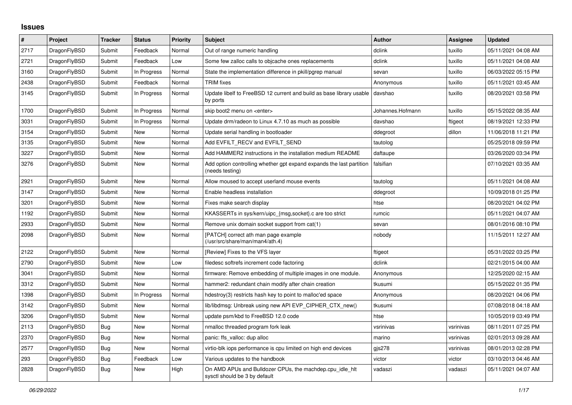## **Issues**

| $\vert$ # | Project      | <b>Tracker</b> | <b>Status</b> | <b>Priority</b> | <b>Subject</b>                                                                             | <b>Author</b>    | <b>Assignee</b> | <b>Updated</b>      |
|-----------|--------------|----------------|---------------|-----------------|--------------------------------------------------------------------------------------------|------------------|-----------------|---------------------|
| 2717      | DragonFlyBSD | Submit         | Feedback      | Normal          | Out of range numeric handling                                                              | dclink           | tuxillo         | 05/11/2021 04:08 AM |
| 2721      | DragonFlyBSD | Submit         | Feedback      | Low             | Some few zalloc calls to objcache ones replacements                                        | dclink           | tuxillo         | 05/11/2021 04:08 AM |
| 3160      | DragonFlyBSD | Submit         | In Progress   | Normal          | State the implementation difference in pkill/pgrep manual                                  | sevan            | tuxillo         | 06/03/2022 05:15 PM |
| 2438      | DragonFlyBSD | Submit         | Feedback      | Normal          | <b>TRIM</b> fixes                                                                          | Anonymous        | tuxillo         | 05/11/2021 03:45 AM |
| 3145      | DragonFlyBSD | Submit         | In Progress   | Normal          | Update libelf to FreeBSD 12 current and build as base library usable   davshao<br>by ports |                  | tuxillo         | 08/20/2021 03:58 PM |
| 1700      | DragonFlyBSD | Submit         | In Progress   | Normal          | skip boot2 menu on <enter></enter>                                                         | Johannes.Hofmann | tuxillo         | 05/15/2022 08:35 AM |
| 3031      | DragonFlyBSD | Submit         | In Progress   | Normal          | Update drm/radeon to Linux 4.7.10 as much as possible                                      | davshao          | ftigeot         | 08/19/2021 12:33 PM |
| 3154      | DragonFlyBSD | Submit         | New           | Normal          | Update serial handling in bootloader                                                       | ddegroot         | dillon          | 11/06/2018 11:21 PM |
| 3135      | DragonFlyBSD | Submit         | <b>New</b>    | Normal          | Add EVFILT RECV and EVFILT SEND                                                            | tautolog         |                 | 05/25/2018 09:59 PM |
| 3227      | DragonFlyBSD | Submit         | <b>New</b>    | Normal          | Add HAMMER2 instructions in the installation medium README                                 | daftaupe         |                 | 03/26/2020 03:34 PM |
| 3276      | DragonFlyBSD | Submit         | New           | Normal          | Add option controlling whether gpt expand expands the last partition<br>(needs testing)    | falsifian        |                 | 07/10/2021 03:35 AM |
| 2921      | DragonFlyBSD | Submit         | <b>New</b>    | Normal          | Allow moused to accept userland mouse events                                               | tautolog         |                 | 05/11/2021 04:08 AM |
| 3147      | DragonFlyBSD | Submit         | New           | Normal          | Enable headless installation                                                               | ddegroot         |                 | 10/09/2018 01:25 PM |
| 3201      | DragonFlyBSD | Submit         | New           | Normal          | Fixes make search display                                                                  | htse             |                 | 08/20/2021 04:02 PM |
| 1192      | DragonFlyBSD | Submit         | New           | Normal          | KKASSERTs in sys/kern/uipc_{msg,socket}.c are too strict                                   | rumcic           |                 | 05/11/2021 04:07 AM |
| 2933      | DragonFlyBSD | Submit         | New           | Normal          | Remove unix domain socket support from cat(1)                                              | sevan            |                 | 08/01/2016 08:10 PM |
| 2098      | DragonFlyBSD | Submit         | New           | Normal          | [PATCH] correct ath man page example<br>(/usr/src/share/man/man4/ath.4)                    | nobody           |                 | 11/15/2011 12:27 AM |
| 2122      | DragonFlyBSD | Submit         | <b>New</b>    | Normal          | [Review] Fixes to the VFS layer                                                            | ftigeot          |                 | 05/31/2022 03:25 PM |
| 2790      | DragonFlyBSD | Submit         | <b>New</b>    | Low             | filedesc softrefs increment code factoring                                                 | dclink           |                 | 02/21/2015 04:00 AM |
| 3041      | DragonFlyBSD | Submit         | <b>New</b>    | Normal          | firmware: Remove embedding of multiple images in one module.                               | Anonymous        |                 | 12/25/2020 02:15 AM |
| 3312      | DragonFlyBSD | Submit         | New           | Normal          | hammer2: redundant chain modify after chain creation                                       | tkusumi          |                 | 05/15/2022 01:35 PM |
| 1398      | DragonFlyBSD | Submit         | In Progress   | Normal          | hdestroy(3) restricts hash key to point to malloc'ed space                                 | Anonymous        |                 | 08/20/2021 04:06 PM |
| 3142      | DragonFlyBSD | Submit         | New           | Normal          | lib/libdmsg: Unbreak using new API EVP_CIPHER_CTX_new()                                    | tkusumi          |                 | 07/08/2018 04:18 AM |
| 3206      | DragonFlyBSD | Submit         | <b>New</b>    | Normal          | update psm/kbd to FreeBSD 12.0 code                                                        | htse             |                 | 10/05/2019 03:49 PM |
| 2113      | DragonFlyBSD | <b>Bug</b>     | <b>New</b>    | Normal          | nmalloc threaded program fork leak                                                         | vsrinivas        | vsrinivas       | 08/11/2011 07:25 PM |
| 2370      | DragonFlyBSD | Bug            | <b>New</b>    | Normal          | panic: ffs valloc: dup alloc                                                               | marino           | vsrinivas       | 02/01/2013 09:28 AM |
| 2577      | DragonFlyBSD | Bug            | New           | Normal          | virtio-blk iops performance is cpu limited on high end devices                             | gjs278           | vsrinivas       | 08/01/2013 02:28 PM |
| 293       | DragonFlyBSD | Bug            | Feedback      | Low             | Various updates to the handbook                                                            | victor           | victor          | 03/10/2013 04:46 AM |
| 2828      | DragonFlyBSD | Bug            | New           | High            | On AMD APUs and Bulldozer CPUs, the machdep.cpu idle hit<br>sysctl should be 3 by default  | vadaszi          | vadaszi         | 05/11/2021 04:07 AM |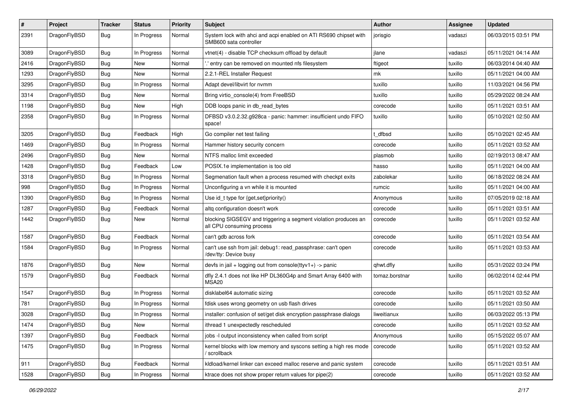| $\#$ | Project      | <b>Tracker</b> | <b>Status</b> | <b>Priority</b> | Subject                                                                                      | Author         | <b>Assignee</b> | <b>Updated</b>      |
|------|--------------|----------------|---------------|-----------------|----------------------------------------------------------------------------------------------|----------------|-----------------|---------------------|
| 2391 | DragonFlyBSD | <b>Bug</b>     | In Progress   | Normal          | System lock with ahci and acpi enabled on ATI RS690 chipset with<br>SMB600 sata controller   | jorisgio       | vadaszi         | 06/03/2015 03:51 PM |
| 3089 | DragonFlyBSD | <b>Bug</b>     | In Progress   | Normal          | vtnet(4) - disable TCP checksum offload by default                                           | jlane          | vadaszi         | 05/11/2021 04:14 AM |
| 2416 | DragonFlyBSD | <b>Bug</b>     | New           | Normal          | ".' entry can be removed on mounted nfs filesystem                                           | ftigeot        | tuxillo         | 06/03/2014 04:40 AM |
| 1293 | DragonFlyBSD | <b>Bug</b>     | New           | Normal          | 2.2.1-REL Installer Request                                                                  | mk             | tuxillo         | 05/11/2021 04:00 AM |
| 3295 | DragonFlyBSD | <b>Bug</b>     | In Progress   | Normal          | Adapt devel/libvirt for nvmm                                                                 | tuxillo        | tuxillo         | 11/03/2021 04:56 PM |
| 3314 | DragonFlyBSD | <b>Bug</b>     | New           | Normal          | Bring virtio_console(4) from FreeBSD                                                         | tuxillo        | tuxillo         | 05/29/2022 08:24 AM |
| 1198 | DragonFlyBSD | Bug            | New           | High            | DDB loops panic in db_read_bytes                                                             | corecode       | tuxillo         | 05/11/2021 03:51 AM |
| 2358 | DragonFlyBSD | <b>Bug</b>     | In Progress   | Normal          | DFBSD v3.0.2.32.g928ca - panic: hammer: insufficient undo FIFO<br>space!                     | tuxillo        | tuxillo         | 05/10/2021 02:50 AM |
| 3205 | DragonFlyBSD | <b>Bug</b>     | Feedback      | High            | Go compiler net test failing                                                                 | : dfbsd        | tuxillo         | 05/10/2021 02:45 AM |
| 1469 | DragonFlyBSD | <b>Bug</b>     | In Progress   | Normal          | Hammer history security concern                                                              | corecode       | tuxillo         | 05/11/2021 03:52 AM |
| 2496 | DragonFlyBSD | Bug            | New           | Normal          | NTFS malloc limit exceeded                                                                   | plasmob        | tuxillo         | 02/19/2013 08:47 AM |
| 1428 | DragonFlyBSD | <b>Bug</b>     | Feedback      | Low             | POSIX.1e implementation is too old                                                           | hasso          | tuxillo         | 05/11/2021 04:00 AM |
| 3318 | DragonFlyBSD | <b>Bug</b>     | In Progress   | Normal          | Segmenation fault when a process resumed with checkpt exits                                  | zabolekar      | tuxillo         | 06/18/2022 08:24 AM |
| 998  | DragonFlyBSD | <b>Bug</b>     | In Progress   | Normal          | Unconfiguring a vn while it is mounted                                                       | rumcic         | tuxillo         | 05/11/2021 04:00 AM |
| 1390 | DragonFlyBSD | <b>Bug</b>     | In Progress   | Normal          | Use id_t type for $\{get, set\}$ priority $()$                                               | Anonymous      | tuxillo         | 07/05/2019 02:18 AM |
| 1287 | DragonFlyBSD | <b>Bug</b>     | Feedback      | Normal          | altg configuration doesn't work                                                              | corecode       | tuxillo         | 05/11/2021 03:51 AM |
| 1442 | DragonFlyBSD | <b>Bug</b>     | New           | Normal          | blocking SIGSEGV and triggering a segment violation produces an<br>all CPU consuming process | corecode       | tuxillo         | 05/11/2021 03:52 AM |
| 1587 | DragonFlyBSD | <b>Bug</b>     | Feedback      | Normal          | can't gdb across fork                                                                        | corecode       | tuxillo         | 05/11/2021 03:54 AM |
| 1584 | DragonFlyBSD | <b>Bug</b>     | In Progress   | Normal          | can't use ssh from jail: debug1: read_passphrase: can't open<br>/dev/tty: Device busy        | corecode       | tuxillo         | 05/11/2021 03:53 AM |
| 1876 | DragonFlyBSD | <b>Bug</b>     | New           | Normal          | devfs in jail + logging out from console(ttyv1+) -> panic                                    | qhwt.dfly      | tuxillo         | 05/31/2022 03:24 PM |
| 1579 | DragonFlyBSD | Bug            | Feedback      | Normal          | dfly 2.4.1 does not like HP DL360G4p and Smart Array 6400 with<br>MSA <sub>20</sub>          | tomaz.borstnar | tuxillo         | 06/02/2014 02:44 PM |
| 1547 | DragonFlyBSD | Bug            | In Progress   | Normal          | disklabel64 automatic sizing                                                                 | corecode       | tuxillo         | 05/11/2021 03:52 AM |
| 781  | DragonFlyBSD | <b>Bug</b>     | In Progress   | Normal          | fdisk uses wrong geometry on usb flash drives                                                | corecode       | tuxillo         | 05/11/2021 03:50 AM |
| 3028 | DragonFlyBSD | Bug            | In Progress   | Normal          | installer: confusion of set/get disk encryption passphrase dialogs                           | liweitianux    | tuxillo         | 06/03/2022 05:13 PM |
| 1474 | DragonFlyBSD | <b>Bug</b>     | New           | Normal          | ithread 1 unexpectedly rescheduled                                                           | corecode       | tuxillo         | 05/11/2021 03:52 AM |
| 1397 | DragonFlyBSD | <b>Bug</b>     | Feedback      | Normal          | jobs -I output inconsistency when called from script                                         | Anonymous      | tuxillo         | 05/15/2022 05:07 AM |
| 1475 | DragonFlyBSD | <b>Bug</b>     | In Progress   | Normal          | kernel blocks with low memory and syscons setting a high res mode<br>/ scrollback            | corecode       | tuxillo         | 05/11/2021 03:52 AM |
| 911  | DragonFlyBSD | <b>Bug</b>     | Feedback      | Normal          | kldload/kernel linker can exceed malloc reserve and panic system                             | corecode       | tuxillo         | 05/11/2021 03:51 AM |
| 1528 | DragonFlyBSD | <b>Bug</b>     | In Progress   | Normal          | ktrace does not show proper return values for pipe(2)                                        | corecode       | tuxillo         | 05/11/2021 03:52 AM |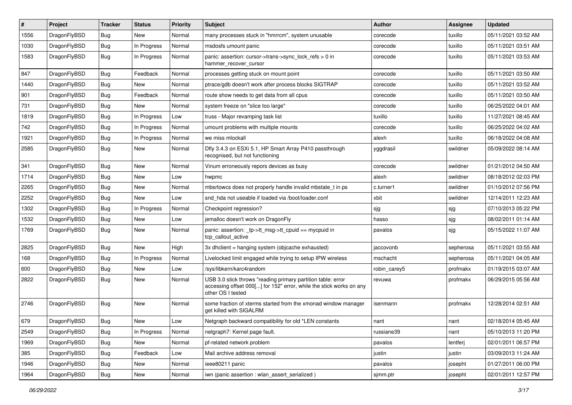| #    | Project      | <b>Tracker</b> | <b>Status</b> | <b>Priority</b> | Subject                                                                                                                                                  | Author       | Assignee  | <b>Updated</b>      |
|------|--------------|----------------|---------------|-----------------|----------------------------------------------------------------------------------------------------------------------------------------------------------|--------------|-----------|---------------------|
| 1556 | DragonFlyBSD | <b>Bug</b>     | New           | Normal          | many processes stuck in "hmrrcm", system unusable                                                                                                        | corecode     | tuxillo   | 05/11/2021 03:52 AM |
| 1030 | DragonFlyBSD | Bug            | In Progress   | Normal          | msdosfs umount panic                                                                                                                                     | corecode     | tuxillo   | 05/11/2021 03:51 AM |
| 1583 | DragonFlyBSD | <b>Bug</b>     | In Progress   | Normal          | panic: assertion: cursor->trans->sync_lock_refs > 0 in<br>hammer_recover_cursor                                                                          | corecode     | tuxillo   | 05/11/2021 03:53 AM |
| 847  | DragonFlyBSD | Bug            | Feedback      | Normal          | processes getting stuck on mount point                                                                                                                   | corecode     | tuxillo   | 05/11/2021 03:50 AM |
| 1440 | DragonFlyBSD | <b>Bug</b>     | New           | Normal          | ptrace/gdb doesn't work after process blocks SIGTRAP                                                                                                     | corecode     | tuxillo   | 05/11/2021 03:52 AM |
| 901  | DragonFlyBSD | <b>Bug</b>     | Feedback      | Normal          | route show needs to get data from all cpus                                                                                                               | corecode     | tuxillo   | 05/11/2021 03:50 AM |
| 731  | DragonFlyBSD | <b>Bug</b>     | New           | Normal          | system freeze on "slice too large"                                                                                                                       | corecode     | tuxillo   | 06/25/2022 04:01 AM |
| 1819 | DragonFlyBSD | <b>Bug</b>     | In Progress   | Low             | truss - Major revamping task list                                                                                                                        | tuxillo      | tuxillo   | 11/27/2021 08:45 AM |
| 742  | DragonFlyBSD | Bug            | In Progress   | Normal          | umount problems with multiple mounts                                                                                                                     | corecode     | tuxillo   | 06/25/2022 04:02 AM |
| 1921 | DragonFlyBSD | <b>Bug</b>     | In Progress   | Normal          | we miss mlockall                                                                                                                                         | alexh        | tuxillo   | 06/18/2022 04:08 AM |
| 2585 | DragonFlyBSD | <b>Bug</b>     | <b>New</b>    | Normal          | Dfly 3.4.3 on ESXi 5.1, HP Smart Array P410 passthrough<br>recognised, but not functioning                                                               | yggdrasil    | swildner  | 05/09/2022 08:14 AM |
| 341  | DragonFlyBSD | <b>Bug</b>     | New           | Normal          | Vinum erroneously repors devices as busy                                                                                                                 | corecode     | swildner  | 01/21/2012 04:50 AM |
| 1714 | DragonFlyBSD | <b>Bug</b>     | New           | Low             | hwpmc                                                                                                                                                    | alexh        | swildner  | 08/18/2012 02:03 PM |
| 2265 | DragonFlyBSD | <b>Bug</b>     | New           | Normal          | mbsrtowcs does not properly handle invalid mbstate t in ps                                                                                               | c.turner1    | swildner  | 01/10/2012 07:56 PM |
| 2252 | DragonFlyBSD | <b>Bug</b>     | New           | Low             | snd hda not useable if loaded via /boot/loader.conf                                                                                                      | xbit         | swildner  | 12/14/2011 12:23 AM |
| 1302 | DragonFlyBSD | <b>Bug</b>     | In Progress   | Normal          | Checkpoint regression?                                                                                                                                   | sjg          | sjg       | 07/10/2013 05:22 PM |
| 1532 | DragonFlyBSD | <b>Bug</b>     | New           | Low             | jemalloc doesn't work on DragonFly                                                                                                                       | hasso        | sjg       | 08/02/2011 01:14 AM |
| 1769 | DragonFlyBSD | <b>Bug</b>     | New           | Normal          | panic: assertion: _tp->tt_msg->tt_cpuid == mycpuid in<br>tcp callout active                                                                              | pavalos      | sjg       | 05/15/2022 11:07 AM |
| 2825 | DragonFlyBSD | <b>Bug</b>     | <b>New</b>    | High            | 3x dhclient = hanging system (objcache exhausted)                                                                                                        | jaccovonb    | sepherosa | 05/11/2021 03:55 AM |
| 168  | DragonFlyBSD | <b>Bug</b>     | In Progress   | Normal          | Livelocked limit engaged while trying to setup IPW wireless                                                                                              | mschacht     | sepherosa | 05/11/2021 04:05 AM |
| 600  | DragonFlyBSD | <b>Bug</b>     | New           | Low             | /sys/libkern/karc4random                                                                                                                                 | robin_carey5 | profmakx  | 01/19/2015 03:07 AM |
| 2822 | DragonFlyBSD | <b>Bug</b>     | New           | Normal          | USB 3.0 stick throws "reading primary partition table: error<br>accessing offset 000[] for 152" error, while the stick works on any<br>other OS I tested | revuwa       | profmakx  | 06/29/2015 05:56 AM |
| 2746 | DragonFlyBSD | Bug            | New           | Normal          | some fraction of xterms started from the xmonad window manager<br>get killed with SIGALRM                                                                | isenmann     | profmakx  | 12/28/2014 02:51 AM |
| 679  | DragonFlyBSD | Bug            | <b>New</b>    | Low             | Netgraph backward compatibility for old *LEN constants                                                                                                   | nant         | nant      | 02/18/2014 05:45 AM |
| 2549 | DragonFlyBSD | <b>Bug</b>     | In Progress   | Normal          | netgraph7: Kernel page fault.                                                                                                                            | russiane39   | nant      | 05/10/2013 11:20 PM |
| 1969 | DragonFlyBSD | <b>Bug</b>     | New           | Normal          | pf-related network problem                                                                                                                               | pavalos      | lentferj  | 02/01/2011 06:57 PM |
| 385  | DragonFlyBSD | <b>Bug</b>     | Feedback      | Low             | Mail archive address removal                                                                                                                             | justin       | justin    | 03/09/2013 11:24 AM |
| 1946 | DragonFlyBSD | <b>Bug</b>     | <b>New</b>    | Normal          | ieee80211 panic                                                                                                                                          | pavalos      | josepht   | 01/27/2011 06:00 PM |
| 1964 | DragonFlyBSD | <b>Bug</b>     | New           | Normal          | iwn (panic assertion : wlan_assert_serialized)                                                                                                           | sjmm.ptr     | josepht   | 02/01/2011 12:57 PM |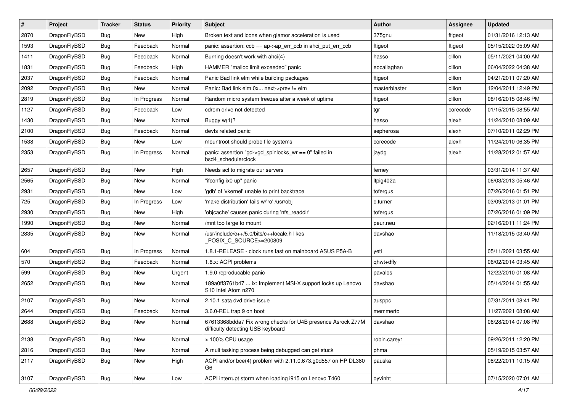| $\#$ | Project      | <b>Tracker</b> | <b>Status</b> | <b>Priority</b> | Subject                                                                                          | Author        | Assignee | <b>Updated</b>      |
|------|--------------|----------------|---------------|-----------------|--------------------------------------------------------------------------------------------------|---------------|----------|---------------------|
| 2870 | DragonFlyBSD | <b>Bug</b>     | New           | High            | Broken text and icons when glamor acceleration is used                                           | 375gnu        | ftigeot  | 01/31/2016 12:13 AM |
| 1593 | DragonFlyBSD | <b>Bug</b>     | Feedback      | Normal          | panic: assertion: ccb == ap->ap_err_ccb in ahci_put_err_ccb                                      | ftigeot       | ftigeot  | 05/15/2022 05:09 AM |
| 1411 | DragonFlyBSD | <b>Bug</b>     | Feedback      | Normal          | Burning doesn't work with ahci(4)                                                                | hasso         | dillon   | 05/11/2021 04:00 AM |
| 1831 | DragonFlyBSD | <b>Bug</b>     | Feedback      | High            | HAMMER "malloc limit exceeded" panic                                                             | eocallaghan   | dillon   | 06/04/2022 04:38 AM |
| 2037 | DragonFlyBSD | <b>Bug</b>     | Feedback      | Normal          | Panic Bad link elm while building packages                                                       | ftigeot       | dillon   | 04/21/2011 07:20 AM |
| 2092 | DragonFlyBSD | <b>Bug</b>     | New           | Normal          | Panic: Bad link elm 0x next->prev != elm                                                         | masterblaster | dillon   | 12/04/2011 12:49 PM |
| 2819 | DragonFlyBSD | <b>Bug</b>     | In Progress   | Normal          | Random micro system freezes after a week of uptime                                               | ftigeot       | dillon   | 08/16/2015 08:46 PM |
| 1127 | DragonFlyBSD | <b>Bug</b>     | Feedback      | Low             | cdrom drive not detected                                                                         | tgr           | corecode | 01/15/2015 08:55 AM |
| 1430 | DragonFlyBSD | <b>Bug</b>     | <b>New</b>    | Normal          | Buggy w(1)?                                                                                      | hasso         | alexh    | 11/24/2010 08:09 AM |
| 2100 | DragonFlyBSD | <b>Bug</b>     | Feedback      | Normal          | devfs related panic                                                                              | sepherosa     | alexh    | 07/10/2011 02:29 PM |
| 1538 | DragonFlyBSD | <b>Bug</b>     | <b>New</b>    | Low             | mountroot should probe file systems                                                              | corecode      | alexh    | 11/24/2010 06:35 PM |
| 2353 | DragonFlyBSD | <b>Bug</b>     | In Progress   | Normal          | panic: assertion "gd->gd_spinlocks_wr == 0" failed in<br>bsd4 schedulerclock                     | jaydg         | alexh    | 11/28/2012 01:57 AM |
| 2657 | DragonFlyBSD | <b>Bug</b>     | <b>New</b>    | High            | Needs acl to migrate our servers                                                                 | ferney        |          | 03/31/2014 11:37 AM |
| 2565 | DragonFlyBSD | <b>Bug</b>     | <b>New</b>    | Normal          | "ifconfig ix0 up" panic                                                                          | Itpig402a     |          | 06/03/2013 05:46 AM |
| 2931 | DragonFlyBSD | <b>Bug</b>     | New           | Low             | 'gdb' of 'vkernel' unable to print backtrace                                                     | tofergus      |          | 07/26/2016 01:51 PM |
| 725  | DragonFlyBSD | <b>Bug</b>     | In Progress   | Low             | 'make distribution' fails w/'ro' /usr/obj                                                        | c.turner      |          | 03/09/2013 01:01 PM |
| 2930 | DragonFlyBSD | <b>Bug</b>     | <b>New</b>    | High            | 'objcache' causes panic during 'nfs_readdir'                                                     | tofergus      |          | 07/26/2016 01:09 PM |
| 1990 | DragonFlyBSD | <b>Bug</b>     | New           | Normal          | /mnt too large to mount                                                                          | peur.neu      |          | 02/16/2011 11:24 PM |
| 2835 | DragonFlyBSD | <b>Bug</b>     | <b>New</b>    | Normal          | /usr/include/c++/5.0/bits/c++locale.h likes<br>POSIX_C_SOURCE>=200809                            | davshao       |          | 11/18/2015 03:40 AM |
| 604  | DragonFlyBSD | <b>Bug</b>     | In Progress   | Normal          | 1.8.1-RELEASE - clock runs fast on mainboard ASUS P5A-B                                          | yeti          |          | 05/11/2021 03:55 AM |
| 570  | DragonFlyBSD | <b>Bug</b>     | Feedback      | Normal          | 1.8.x: ACPI problems                                                                             | qhwt+dfly     |          | 06/02/2014 03:45 AM |
| 599  | DragonFlyBSD | <b>Bug</b>     | New           | Urgent          | 1.9.0 reproducable panic                                                                         | pavalos       |          | 12/22/2010 01:08 AM |
| 2652 | DragonFlyBSD | <b>Bug</b>     | New           | Normal          | 189a0ff3761b47  ix: Implement MSI-X support locks up Lenovo<br>S10 Intel Atom n270               | davshao       |          | 05/14/2014 01:55 AM |
| 2107 | DragonFlyBSD | <b>Bug</b>     | <b>New</b>    | Normal          | 2.10.1 sata dvd drive issue                                                                      | ausppc        |          | 07/31/2011 08:41 PM |
| 2644 | DragonFlyBSD | <b>Bug</b>     | Feedback      | Normal          | 3.6.0-REL trap 9 on boot                                                                         | memmerto      |          | 11/27/2021 08:08 AM |
| 2688 | DragonFlyBSD | <b>Bug</b>     | New           | Normal          | 67613368bdda7 Fix wrong checks for U4B presence Asrock Z77M<br>difficulty detecting USB keyboard | davshao       |          | 06/28/2014 07:08 PM |
| 2138 | DragonFlyBSD | <b>Bug</b>     | New           | Normal          | > 100% CPU usage                                                                                 | robin.carey1  |          | 09/26/2011 12:20 PM |
| 2816 | DragonFlyBSD | <b>Bug</b>     | New           | Normal          | A multitasking process being debugged can get stuck                                              | phma          |          | 05/19/2015 03:57 AM |
| 2117 | DragonFlyBSD | Bug            | New           | High            | ACPI and/or bce(4) problem with 2.11.0.673.g0d557 on HP DL380<br>G6                              | pauska        |          | 08/22/2011 10:15 AM |
| 3107 | DragonFlyBSD | Bug            | New           | Low             | ACPI interrupt storm when loading i915 on Lenovo T460                                            | oyvinht       |          | 07/15/2020 07:01 AM |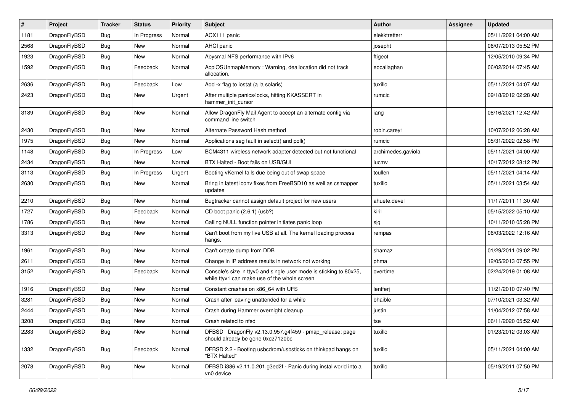| $\#$ | Project      | <b>Tracker</b> | <b>Status</b> | <b>Priority</b> | Subject                                                                                                            | <b>Author</b>      | Assignee | <b>Updated</b>      |
|------|--------------|----------------|---------------|-----------------|--------------------------------------------------------------------------------------------------------------------|--------------------|----------|---------------------|
| 1181 | DragonFlyBSD | <b>Bug</b>     | In Progress   | Normal          | ACX111 panic                                                                                                       | elekktretterr      |          | 05/11/2021 04:00 AM |
| 2568 | DragonFlyBSD | <b>Bug</b>     | <b>New</b>    | Normal          | AHCI panic                                                                                                         | josepht            |          | 06/07/2013 05:52 PM |
| 1923 | DragonFlyBSD | <b>Bug</b>     | New           | Normal          | Abysmal NFS performance with IPv6                                                                                  | ftigeot            |          | 12/05/2010 09:34 PM |
| 1592 | DragonFlyBSD | <b>Bug</b>     | Feedback      | Normal          | AcpiOSUnmapMemory: Warning, deallocation did not track<br>allocation.                                              | eocallaghan        |          | 06/02/2014 07:45 AM |
| 2636 | DragonFlyBSD | <b>Bug</b>     | Feedback      | Low             | Add -x flag to iostat (a la solaris)                                                                               | tuxillo            |          | 05/11/2021 04:07 AM |
| 2423 | DragonFlyBSD | <b>Bug</b>     | New           | Urgent          | After multiple panics/locks, hitting KKASSERT in<br>hammer init cursor                                             | rumcic             |          | 09/18/2012 02:28 AM |
| 3189 | DragonFlyBSD | Bug            | <b>New</b>    | Normal          | Allow DragonFly Mail Agent to accept an alternate config via<br>command line switch                                | iang               |          | 08/16/2021 12:42 AM |
| 2430 | DragonFlyBSD | <b>Bug</b>     | New           | Normal          | Alternate Password Hash method                                                                                     | robin.carey1       |          | 10/07/2012 06:28 AM |
| 1975 | DragonFlyBSD | Bug            | New           | Normal          | Applications seg fault in select() and poll()                                                                      | rumcic             |          | 05/31/2022 02:58 PM |
| 1148 | DragonFlyBSD | <b>Bug</b>     | In Progress   | Low             | BCM4311 wireless network adapter detected but not functional                                                       | archimedes.gaviola |          | 05/11/2021 04:00 AM |
| 2434 | DragonFlyBSD | Bug            | New           | Normal          | BTX Halted - Boot fails on USB/GUI                                                                                 | lucmv              |          | 10/17/2012 08:12 PM |
| 3113 | DragonFlyBSD | <b>Bug</b>     | In Progress   | Urgent          | Booting vKernel fails due being out of swap space                                                                  | tcullen            |          | 05/11/2021 04:14 AM |
| 2630 | DragonFlyBSD | <b>Bug</b>     | New           | Normal          | Bring in latest iconv fixes from FreeBSD10 as well as csmapper<br>updates                                          | tuxillo            |          | 05/11/2021 03:54 AM |
| 2210 | DragonFlyBSD | <b>Bug</b>     | New           | Normal          | Bugtracker cannot assign default project for new users                                                             | ahuete.devel       |          | 11/17/2011 11:30 AM |
| 1727 | DragonFlyBSD | <b>Bug</b>     | Feedback      | Normal          | CD boot panic (2.6.1) (usb?)                                                                                       | kiril              |          | 05/15/2022 05:10 AM |
| 1786 | DragonFlyBSD | Bug            | New           | Normal          | Calling NULL function pointer initiates panic loop                                                                 | sjg                |          | 10/11/2010 05:28 PM |
| 3313 | DragonFlyBSD | <b>Bug</b>     | New           | Normal          | Can't boot from my live USB at all. The kernel loading process<br>hangs.                                           | rempas             |          | 06/03/2022 12:16 AM |
| 1961 | DragonFlyBSD | Bug            | <b>New</b>    | Normal          | Can't create dump from DDB                                                                                         | shamaz             |          | 01/29/2011 09:02 PM |
| 2611 | DragonFlyBSD | Bug            | New           | Normal          | Change in IP address results in network not working                                                                | phma               |          | 12/05/2013 07:55 PM |
| 3152 | DragonFlyBSD | <b>Bug</b>     | Feedback      | Normal          | Console's size in ttyv0 and single user mode is sticking to 80x25,<br>while ttyv1 can make use of the whole screen | overtime           |          | 02/24/2019 01:08 AM |
| 1916 | DragonFlyBSD | <b>Bug</b>     | New           | Normal          | Constant crashes on x86_64 with UFS                                                                                | lentferj           |          | 11/21/2010 07:40 PM |
| 3281 | DragonFlyBSD | Bug            | New           | Normal          | Crash after leaving unattended for a while                                                                         | bhaible            |          | 07/10/2021 03:32 AM |
| 2444 | DragonFlyBSD | <b>Bug</b>     | New           | Normal          | Crash during Hammer overnight cleanup                                                                              | justin             |          | 11/04/2012 07:58 AM |
| 3208 | DragonFlvBSD | Bug            | New           | Normal          | Crash related to nfsd                                                                                              | tse                |          | 06/11/2020 05:52 AM |
| 2283 | DragonFlyBSD | Bug            | New           | Normal          | DFBSD DragonFly v2.13.0.957.g4f459 - pmap_release: page<br>should already be gone 0xc27120bc                       | tuxillo            |          | 01/23/2012 03:03 AM |
| 1332 | DragonFlyBSD | <b>Bug</b>     | Feedback      | Normal          | DFBSD 2.2 - Booting usbcdrom/usbsticks on thinkpad hangs on<br>"BTX Halted"                                        | tuxillo            |          | 05/11/2021 04:00 AM |
| 2078 | DragonFlyBSD | <b>Bug</b>     | New           | Normal          | DFBSD i386 v2.11.0.201.g3ed2f - Panic during installworld into a<br>vn0 device                                     | tuxillo            |          | 05/19/2011 07:50 PM |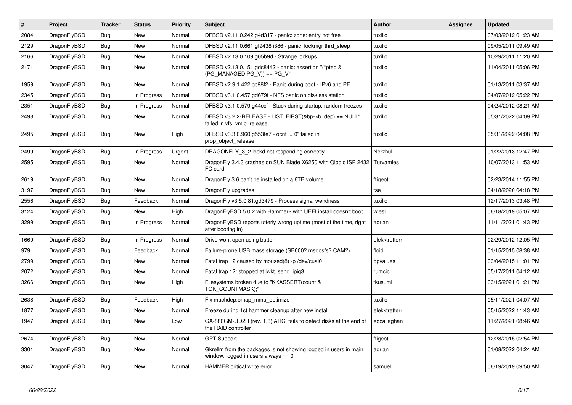| $\#$ | <b>Project</b> | <b>Tracker</b> | <b>Status</b> | <b>Priority</b> | <b>Subject</b>                                                                                            | <b>Author</b> | Assignee | <b>Updated</b>      |
|------|----------------|----------------|---------------|-----------------|-----------------------------------------------------------------------------------------------------------|---------------|----------|---------------------|
| 2084 | DragonFlyBSD   | <b>Bug</b>     | <b>New</b>    | Normal          | DFBSD v2.11.0.242.g4d317 - panic: zone: entry not free                                                    | tuxillo       |          | 07/03/2012 01:23 AM |
| 2129 | DragonFlyBSD   | <b>Bug</b>     | <b>New</b>    | Normal          | DFBSD v2.11.0.661.gf9438 i386 - panic: lockmgr thrd sleep                                                 | tuxillo       |          | 09/05/2011 09:49 AM |
| 2166 | DragonFlyBSD   | Bug            | <b>New</b>    | Normal          | DFBSD v2.13.0.109.g05b9d - Strange lockups                                                                | tuxillo       |          | 10/29/2011 11:20 AM |
| 2171 | DragonFlyBSD   | Bug            | <b>New</b>    | Normal          | DFBSD v2.13.0.151.gdc8442 - panic: assertion "(*ptep &<br>$(PG MANAGED PG V)) == PG V"$                   | tuxillo       |          | 11/04/2011 05:06 PM |
| 1959 | DragonFlyBSD   | Bug            | <b>New</b>    | Normal          | DFBSD v2.9.1.422.gc98f2 - Panic during boot - IPv6 and PF                                                 | tuxillo       |          | 01/13/2011 03:37 AM |
| 2345 | DragonFlyBSD   | Bug            | In Progress   | Normal          | DFBSD v3.1.0.457.gd679f - NFS panic on diskless station                                                   | tuxillo       |          | 04/07/2012 05:22 PM |
| 2351 | DragonFlyBSD   | <b>Bug</b>     | In Progress   | Normal          | DFBSD v3.1.0.579.g44ccf - Stuck during startup, random freezes                                            | tuxillo       |          | 04/24/2012 08:21 AM |
| 2498 | DragonFlyBSD   | <b>Bug</b>     | New           | Normal          | DFBSD v3.2.2-RELEASE - LIST_FIRST(&bp->b_dep) == NULL"<br>failed in vfs vmio release                      | tuxillo       |          | 05/31/2022 04:09 PM |
| 2495 | DragonFlyBSD   | Bug            | <b>New</b>    | High            | DFBSD v3.3.0.960.g553fe7 - ocnt != 0" failed in<br>prop_object_release                                    | tuxillo       |          | 05/31/2022 04:08 PM |
| 2499 | DragonFlyBSD   | Bug            | In Progress   | Urgent          | DRAGONFLY 3 2 lockd not responding correctly                                                              | Nerzhul       |          | 01/22/2013 12:47 PM |
| 2595 | DragonFlyBSD   | <b>Bug</b>     | <b>New</b>    | Normal          | Dragon Fly 3.4.3 crashes on SUN Blade X6250 with Qlogic ISP 2432<br>FC card                               | Turvamies     |          | 10/07/2013 11:53 AM |
| 2619 | DragonFlyBSD   | <b>Bug</b>     | <b>New</b>    | Normal          | Dragon Fly 3.6 can't be installed on a 6TB volume                                                         | ftigeot       |          | 02/23/2014 11:55 PM |
| 3197 | DragonFlyBSD   | Bug            | <b>New</b>    | Normal          | DragonFly upgrades                                                                                        | tse           |          | 04/18/2020 04:18 PM |
| 2556 | DragonFlyBSD   | Bug            | Feedback      | Normal          | DragonFly v3.5.0.81.gd3479 - Process signal weirdness                                                     | tuxillo       |          | 12/17/2013 03:48 PM |
| 3124 | DragonFlyBSD   | <b>Bug</b>     | <b>New</b>    | High            | DragonFlyBSD 5.0.2 with Hammer2 with UEFI install doesn't boot                                            | wiesl         |          | 06/18/2019 05:07 AM |
| 3299 | DragonFlyBSD   | Bug            | In Progress   | Normal          | Dragon FlyBSD reports utterly wrong uptime (most of the time, right<br>after booting in)                  | adrian        |          | 11/11/2021 01:43 PM |
| 1669 | DragonFlyBSD   | <b>Bug</b>     | In Progress   | Normal          | Drive wont open using button                                                                              | elekktretterr |          | 02/29/2012 12:05 PM |
| 979  | DragonFlyBSD   | <b>Bug</b>     | Feedback      | Normal          | Failure-prone USB mass storage (SB600? msdosfs? CAM?)                                                     | floid         |          | 01/15/2015 08:38 AM |
| 2799 | DragonFlyBSD   | Bug            | <b>New</b>    | Normal          | Fatal trap 12 caused by moused(8) -p/dev/cual0                                                            | opvalues      |          | 03/04/2015 11:01 PM |
| 2072 | DragonFlyBSD   | <b>Bug</b>     | <b>New</b>    | Normal          | Fatal trap 12: stopped at lwkt_send_ipiq3                                                                 | rumcic        |          | 05/17/2011 04:12 AM |
| 3266 | DragonFlyBSD   | <b>Bug</b>     | <b>New</b>    | High            | Filesystems broken due to "KKASSERT(count &<br>TOK COUNTMASK);"                                           | tkusumi       |          | 03/15/2021 01:21 PM |
| 2638 | DragonFlyBSD   | <b>Bug</b>     | Feedback      | High            | Fix machdep.pmap mmu optimize                                                                             | tuxillo       |          | 05/11/2021 04:07 AM |
| 1877 | DragonFlyBSD   | <b>Bug</b>     | <b>New</b>    | Normal          | Freeze during 1st hammer cleanup after new install                                                        | elekktretterr |          | 05/15/2022 11:43 AM |
| 1947 | DragonFlyBSD   | Bug            | New           | Low             | GA-880GM-UD2H (rev. 1.3) AHCI fails to detect disks at the end of<br>the RAID controller                  | eocallaghan   |          | 11/27/2021 08:46 AM |
| 2674 | DragonFlyBSD   | <b>Bug</b>     | <b>New</b>    | Normal          | <b>GPT Support</b>                                                                                        | ftigeot       |          | 12/28/2015 02:54 PM |
| 3301 | DragonFlyBSD   | Bug            | New           | Normal          | Gkrellm from the packages is not showing logged in users in main<br>window, logged in users always $== 0$ | adrian        |          | 01/08/2022 04:24 AM |
| 3047 | DragonFlyBSD   | Bug            | <b>New</b>    | Normal          | HAMMER critical write error                                                                               | samuel        |          | 06/19/2019 09:50 AM |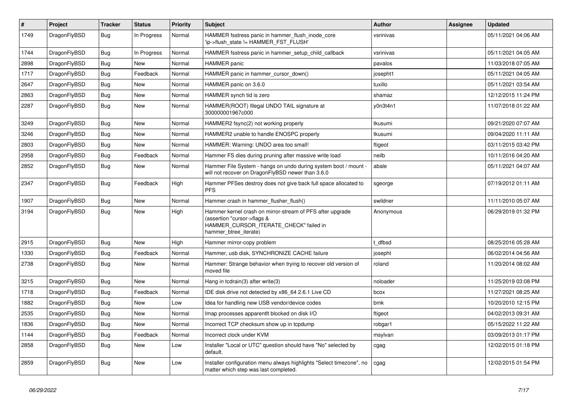| $\vert$ # | Project      | <b>Tracker</b> | <b>Status</b> | <b>Priority</b> | <b>Subject</b>                                                                                                                                              | <b>Author</b> | Assignee | <b>Updated</b>      |
|-----------|--------------|----------------|---------------|-----------------|-------------------------------------------------------------------------------------------------------------------------------------------------------------|---------------|----------|---------------------|
| 1749      | DragonFlyBSD | <b>Bug</b>     | In Progress   | Normal          | HAMMER fsstress panic in hammer_flush_inode_core<br>'ip->flush_state != HAMMER_FST_FLUSH'                                                                   | vsrinivas     |          | 05/11/2021 04:06 AM |
| 1744      | DragonFlyBSD | <b>Bug</b>     | In Progress   | Normal          | HAMMER fsstress panic in hammer setup child callback                                                                                                        | vsrinivas     |          | 05/11/2021 04:05 AM |
| 2898      | DragonFlyBSD | <b>Bug</b>     | New           | Normal          | <b>HAMMER</b> panic                                                                                                                                         | pavalos       |          | 11/03/2018 07:05 AM |
| 1717      | DragonFlyBSD | <b>Bug</b>     | Feedback      | Normal          | HAMMER panic in hammer_cursor_down()                                                                                                                        | josepht1      |          | 05/11/2021 04:05 AM |
| 2647      | DragonFlyBSD | <b>Bug</b>     | <b>New</b>    | Normal          | HAMMER panic on 3.6.0                                                                                                                                       | tuxillo       |          | 05/11/2021 03:54 AM |
| 2863      | DragonFlyBSD | <b>Bug</b>     | <b>New</b>    | Normal          | HAMMER synch tid is zero                                                                                                                                    | shamaz        |          | 12/12/2015 11:24 PM |
| 2287      | DragonFlyBSD | <b>Bug</b>     | <b>New</b>    | Normal          | HAMMER(ROOT) Illegal UNDO TAIL signature at<br>300000001967c000                                                                                             | y0n3t4n1      |          | 11/07/2018 01:22 AM |
| 3249      | DragonFlyBSD | <b>Bug</b>     | <b>New</b>    | Normal          | HAMMER2 fsync(2) not working properly                                                                                                                       | tkusumi       |          | 09/21/2020 07:07 AM |
| 3246      | DragonFlyBSD | Bug            | New           | Normal          | HAMMER2 unable to handle ENOSPC properly                                                                                                                    | tkusumi       |          | 09/04/2020 11:11 AM |
| 2803      | DragonFlyBSD | Bug            | New           | Normal          | HAMMER: Warning: UNDO area too small!                                                                                                                       | ftigeot       |          | 03/11/2015 03:42 PM |
| 2958      | DragonFlyBSD | <b>Bug</b>     | Feedback      | Normal          | Hammer FS dies during pruning after massive write load                                                                                                      | neilb         |          | 10/11/2016 04:20 AM |
| 2852      | DragonFlyBSD | <b>Bug</b>     | New           | Normal          | Hammer File System - hangs on undo during system boot / mount -<br>will not recover on DragonFlyBSD newer than 3.6.0                                        | abale         |          | 05/11/2021 04:07 AM |
| 2347      | DragonFlyBSD | <b>Bug</b>     | Feedback      | High            | Hammer PFSes destroy does not give back full space allocated to<br><b>PFS</b>                                                                               | sgeorge       |          | 07/19/2012 01:11 AM |
| 1907      | DragonFlyBSD | <b>Bug</b>     | <b>New</b>    | Normal          | Hammer crash in hammer flusher flush()                                                                                                                      | swildner      |          | 11/11/2010 05:07 AM |
| 3194      | DragonFlyBSD | Bug            | <b>New</b>    | High            | Hammer kernel crash on mirror-stream of PFS after upgrade<br>(assertion "cursor->flags &<br>HAMMER_CURSOR_ITERATE_CHECK" failed in<br>hammer_btree_iterate) | Anonymous     |          | 06/29/2019 01:32 PM |
| 2915      | DragonFlyBSD | Bug            | <b>New</b>    | High            | Hammer mirror-copy problem                                                                                                                                  | t dfbsd       |          | 08/25/2016 05:28 AM |
| 1330      | DragonFlyBSD | <b>Bug</b>     | Feedback      | Normal          | Hammer, usb disk, SYNCHRONIZE CACHE failure                                                                                                                 | josepht       |          | 06/02/2014 04:56 AM |
| 2738      | DragonFlyBSD | <b>Bug</b>     | <b>New</b>    | Normal          | Hammer: Strange behavior when trying to recover old version of<br>moved file                                                                                | roland        |          | 11/20/2014 08:02 AM |
| 3215      | DragonFlyBSD | Bug            | New           | Normal          | Hang in todrain(3) after write(3)                                                                                                                           | noloader      |          | 11/25/2019 03:08 PM |
| 1718      | DragonFlyBSD | Bug            | Feedback      | Normal          | IDE disk drive not detected by x86 64 2.6.1 Live CD                                                                                                         | bcox          |          | 11/27/2021 08:25 AM |
| 1882      | DragonFlyBSD | <b>Bug</b>     | New           | Low             | Idea for handling new USB vendor/device codes                                                                                                               | bmk           |          | 10/20/2010 12:15 PM |
| 2535      | DragonFlyBSD | <b>Bug</b>     | New           | Normal          | Imap processes apparentlt blocked on disk I/O                                                                                                               | ftigeot       |          | 04/02/2013 09:31 AM |
| 1836      | DragonFlyBSD | <b>Bug</b>     | New           | Normal          | Incorrect TCP checksum show up in tcpdump                                                                                                                   | robgar1       |          | 05/15/2022 11:22 AM |
| 1144      | DragonFlyBSD | <b>Bug</b>     | Feedback      | Normal          | Incorrect clock under KVM                                                                                                                                   | msylvan       |          | 03/09/2013 01:17 PM |
| 2858      | DragonFlyBSD | <b>Bug</b>     | <b>New</b>    | Low             | Installer "Local or UTC" question should have "No" selected by<br>default.                                                                                  | cgag          |          | 12/02/2015 01:18 PM |
| 2859      | DragonFlyBSD | <b>Bug</b>     | <b>New</b>    | Low             | Installer configuration menu always highlights "Select timezone", no<br>matter which step was last completed.                                               | cgag          |          | 12/02/2015 01:54 PM |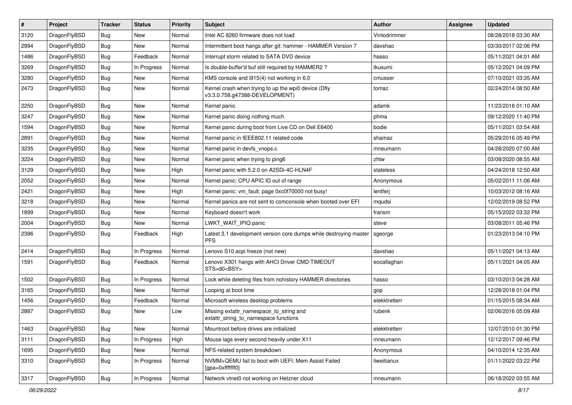| $\vert$ # | Project      | <b>Tracker</b> | <b>Status</b> | <b>Priority</b> | Subject                                                                                | Author        | Assignee | <b>Updated</b>      |
|-----------|--------------|----------------|---------------|-----------------|----------------------------------------------------------------------------------------|---------------|----------|---------------------|
| 3120      | DragonFlyBSD | <b>Bug</b>     | New           | Normal          | Intel AC 8260 firmware does not load                                                   | Vintodrimmer  |          | 08/28/2018 03:30 AM |
| 2994      | DragonFlyBSD | <b>Bug</b>     | New           | Normal          | Intermittent boot hangs after git: hammer - HAMMER Version 7                           | davshao       |          | 03/30/2017 02:06 PM |
| 1486      | DragonFlyBSD | <b>Bug</b>     | Feedback      | Normal          | Interrupt storm related to SATA DVD device                                             | hasso         |          | 05/11/2021 04:01 AM |
| 3269      | DragonFlyBSD | <b>Bug</b>     | In Progress   | Normal          | Is double-buffer'd buf still required by HAMMER2 ?                                     | tkusumi       |          | 05/12/2021 04:09 PM |
| 3280      | DragonFlyBSD | <b>Bug</b>     | <b>New</b>    | Normal          | KMS console and i915(4) not working in 6.0                                             | cmusser       |          | 07/10/2021 03:35 AM |
| 2473      | DragonFlyBSD | <b>Bug</b>     | New           | Normal          | Kernel crash when trying to up the wpi0 device (Dfly<br>v3.3.0.758.g47388-DEVELOPMENT) | tomaz         |          | 02/24/2014 08:50 AM |
| 2250      | DragonFlyBSD | <b>Bug</b>     | <b>New</b>    | Normal          | Kernel panic                                                                           | adamk         |          | 11/23/2018 01:10 AM |
| 3247      | DragonFlyBSD | <b>Bug</b>     | New           | Normal          | Kernel panic doing nothing much                                                        | phma          |          | 09/12/2020 11:40 PM |
| 1594      | DragonFlyBSD | <b>Bug</b>     | <b>New</b>    | Normal          | Kernel panic during boot from Live CD on Dell E6400                                    | bodie         |          | 05/11/2021 03:54 AM |
| 2891      | DragonFlyBSD | <b>Bug</b>     | New           | Normal          | Kernel panic in IEEE802.11 related code                                                | shamaz        |          | 05/29/2016 05:49 PM |
| 3235      | DragonFlyBSD | <b>Bug</b>     | New           | Normal          | Kernel panic in devfs vnops.c                                                          | mneumann      |          | 04/28/2020 07:00 AM |
| 3224      | DragonFlyBSD | <b>Bug</b>     | New           | Normal          | Kernel panic when trying to ping6                                                      | zhtw          |          | 03/08/2020 08:55 AM |
| 3129      | DragonFlyBSD | <b>Bug</b>     | <b>New</b>    | High            | Kernel panic with 5.2.0 on A2SDi-4C-HLN4F                                              | stateless     |          | 04/24/2018 12:50 AM |
| 2052      | DragonFlyBSD | <b>Bug</b>     | New           | Normal          | Kernel panic: CPU APIC ID out of range                                                 | Anonymous     |          | 05/02/2011 11:06 AM |
| 2421      | DragonFlyBSD | <b>Bug</b>     | <b>New</b>    | High            | Kernel panic: vm_fault: page 0xc0f70000 not busy!                                      | lentferj      |          | 10/03/2012 08:16 AM |
| 3218      | DragonFlyBSD | <b>Bug</b>     | <b>New</b>    | Normal          | Kernel panics are not sent to comconsole when booted over EFI                          | mqudsi        |          | 12/02/2019 08:52 PM |
| 1899      | DragonFlyBSD | <b>Bug</b>     | <b>New</b>    | Normal          | Keyboard doesn't work                                                                  | fransm        |          | 05/15/2022 03:32 PM |
| 2004      | DragonFlyBSD | <b>Bug</b>     | New           | Normal          | LWKT_WAIT_IPIQ panic                                                                   | steve         |          | 03/08/2011 05:46 PM |
| 2396      | DragonFlyBSD | <b>Bug</b>     | Feedback      | High            | Latest 3.1 development version core dumps while destroying master<br><b>PFS</b>        | sgeorge       |          | 01/23/2013 04:10 PM |
| 2414      | DragonFlyBSD | Bug            | In Progress   | Normal          | Lenovo S10 acpi freeze (not new)                                                       | davshao       |          | 05/11/2021 04:13 AM |
| 1591      | DragonFlyBSD | Bug            | Feedback      | Normal          | Lenovo X301 hangs with AHCI Driver CMD TIMEOUT<br>STS=d0 <bsy></bsy>                   | eocallaghan   |          | 05/11/2021 04:05 AM |
| 1502      | DragonFlyBSD | Bug            | In Progress   | Normal          | Lock while deleting files from nohistory HAMMER directories                            | hasso         |          | 03/10/2013 04:28 AM |
| 3165      | DragonFlyBSD | Bug            | <b>New</b>    | Normal          | Looping at boot time                                                                   | gop           |          | 12/28/2018 01:04 PM |
| 1456      | DragonFlyBSD | <b>Bug</b>     | Feedback      | Normal          | Microsoft wireless desktop problems                                                    | elekktretterr |          | 01/15/2015 08:34 AM |
| 2887      | DragonFlyBSD | Bug            | New           | Low             | Missing extattr_namespace_to_string and<br>extattr_string_to_namespace functions       | rubenk        |          | 02/06/2016 05:09 AM |
| 1463      | DragonFlyBSD | <b>Bug</b>     | New           | Normal          | Mountroot before drives are initialized                                                | elekktretterr |          | 12/07/2010 01:30 PM |
| 3111      | DragonFlyBSD | <b>Bug</b>     | In Progress   | High            | Mouse lags every second heavily under X11                                              | mneumann      |          | 12/12/2017 09:46 PM |
| 1695      | DragonFlyBSD | <b>Bug</b>     | New           | Normal          | NFS-related system breakdown                                                           | Anonymous     |          | 04/10/2014 12:35 AM |
| 3310      | DragonFlyBSD | <b>Bug</b>     | In Progress   | Normal          | NVMM+QEMU fail to boot with UEFI: Mem Assist Failed<br>[gpa=0xfffffff0]                | liweitianux   |          | 01/11/2022 03:22 PM |
| 3317      | DragonFlyBSD | Bug            | In Progress   | Normal          | Network vtnet0 not working on Hetzner cloud                                            | mneumann      |          | 06/18/2022 03:55 AM |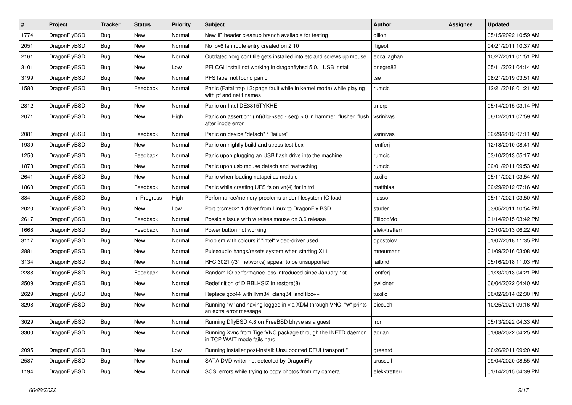| #    | Project      | <b>Tracker</b> | <b>Status</b> | <b>Priority</b> | Subject                                                                                         | Author        | Assignee | <b>Updated</b>      |
|------|--------------|----------------|---------------|-----------------|-------------------------------------------------------------------------------------------------|---------------|----------|---------------------|
| 1774 | DragonFlyBSD | Bug            | <b>New</b>    | Normal          | New IP header cleanup branch available for testing                                              | dillon        |          | 05/15/2022 10:59 AM |
| 2051 | DragonFlyBSD | Bug            | <b>New</b>    | Normal          | No ipv6 lan route entry created on 2.10                                                         | ftigeot       |          | 04/21/2011 10:37 AM |
| 2161 | DragonFlyBSD | <b>Bug</b>     | New           | Normal          | Outdated xorg.conf file gets installed into etc and screws up mouse                             | eocallaghan   |          | 10/27/2011 01:51 PM |
| 3101 | DragonFlyBSD | Bug            | New           | Low             | PFI CGI install not working in dragonflybsd 5.0.1 USB install                                   | bnegre82      |          | 05/11/2021 04:14 AM |
| 3199 | DragonFlyBSD | Bug            | New           | Normal          | PFS label not found panic                                                                       | tse           |          | 08/21/2019 03:51 AM |
| 1580 | DragonFlyBSD | Bug            | Feedback      | Normal          | Panic (Fatal trap 12: page fault while in kernel mode) while playing<br>with pf and netif names | rumcic        |          | 12/21/2018 01:21 AM |
| 2812 | DragonFlyBSD | Bug            | New           | Normal          | Panic on Intel DE3815TYKHE                                                                      | tmorp         |          | 05/14/2015 03:14 PM |
| 2071 | DragonFlyBSD | Bug            | New           | High            | Panic on assertion: (int)(flg->seq - seq) > 0 in hammer_flusher_flush<br>after inode error      | vsrinivas     |          | 06/12/2011 07:59 AM |
| 2081 | DragonFlyBSD | <b>Bug</b>     | Feedback      | Normal          | Panic on device "detach" / "failure"                                                            | vsrinivas     |          | 02/29/2012 07:11 AM |
| 1939 | DragonFlyBSD | Bug            | New           | Normal          | Panic on nightly build and stress test box                                                      | lentferj      |          | 12/18/2010 08:41 AM |
| 1250 | DragonFlyBSD | Bug            | Feedback      | Normal          | Panic upon plugging an USB flash drive into the machine                                         | rumcic        |          | 03/10/2013 05:17 AM |
| 1873 | DragonFlyBSD | Bug            | New           | Normal          | Panic upon usb mouse detach and reattaching                                                     | rumcic        |          | 02/01/2011 09:53 AM |
| 2641 | DragonFlyBSD | Bug            | New           | Normal          | Panic when loading natapci as module                                                            | tuxillo       |          | 05/11/2021 03:54 AM |
| 1860 | DragonFlyBSD | <b>Bug</b>     | Feedback      | Normal          | Panic while creating UFS fs on vn(4) for initrd                                                 | matthias      |          | 02/29/2012 07:16 AM |
| 884  | DragonFlyBSD | Bug            | In Progress   | High            | Performance/memory problems under filesystem IO load                                            | hasso         |          | 05/11/2021 03:50 AM |
| 2020 | DragonFlyBSD | Bug            | New           | Low             | Port brcm80211 driver from Linux to DragonFly BSD                                               | studer        |          | 03/05/2011 10:54 PM |
| 2617 | DragonFlyBSD | <b>Bug</b>     | Feedback      | Normal          | Possible issue with wireless mouse on 3.6 release                                               | FilippoMo     |          | 01/14/2015 03:42 PM |
| 1668 | DragonFlyBSD | Bug            | Feedback      | Normal          | Power button not working                                                                        | elekktretterr |          | 03/10/2013 06:22 AM |
| 3117 | DragonFlyBSD | <b>Bug</b>     | New           | Normal          | Problem with colours if "intel" video-driver used                                               | dpostolov     |          | 01/07/2018 11:35 PM |
| 2881 | DragonFlyBSD | Bug            | New           | Normal          | Pulseaudio hangs/resets system when starting X11                                                | mneumann      |          | 01/09/2016 03:08 AM |
| 3134 | DragonFlyBSD | <b>Bug</b>     | New           | Normal          | RFC 3021 (/31 networks) appear to be unsupported                                                | jailbird      |          | 05/16/2018 11:03 PM |
| 2288 | DragonFlyBSD | <b>Bug</b>     | Feedback      | Normal          | Random IO performance loss introduced since January 1st                                         | lentferj      |          | 01/23/2013 04:21 PM |
| 2509 | DragonFlyBSD | Bug            | <b>New</b>    | Normal          | Redefinition of DIRBLKSIZ in restore(8)                                                         | swildner      |          | 06/04/2022 04:40 AM |
| 2629 | DragonFlyBSD | Bug            | New           | Normal          | Replace gcc44 with llvm34, clang34, and libc++                                                  | tuxillo       |          | 06/02/2014 02:30 PM |
| 3298 | DragonFlyBSD | Bug            | New           | Normal          | Running "w" and having logged in via XDM through VNC, "w" prints<br>an extra error message      | piecuch       |          | 10/25/2021 09:16 AM |
| 3029 | DragonFlyBSD | Bug            | New           | Normal          | Running DflyBSD 4.8 on FreeBSD bhyve as a guest                                                 | iron          |          | 05/13/2022 04:33 AM |
| 3300 | DragonFlyBSD | Bug            | New           | Normal          | Running Xvnc from TigerVNC package through the INETD daemon<br>in TCP WAIT mode fails hard      | adrian        |          | 01/08/2022 04:25 AM |
| 2095 | DragonFlyBSD | <b>Bug</b>     | New           | Low             | Running installer post-install: Unsupported DFUI transport "                                    | greenrd       |          | 06/26/2011 09:20 AM |
| 2587 | DragonFlyBSD | <b>Bug</b>     | New           | Normal          | SATA DVD writer not detected by DragonFly                                                       | srussell      |          | 09/04/2020 08:55 AM |
| 1194 | DragonFlyBSD | Bug            | New           | Normal          | SCSI errors while trying to copy photos from my camera                                          | elekktretterr |          | 01/14/2015 04:39 PM |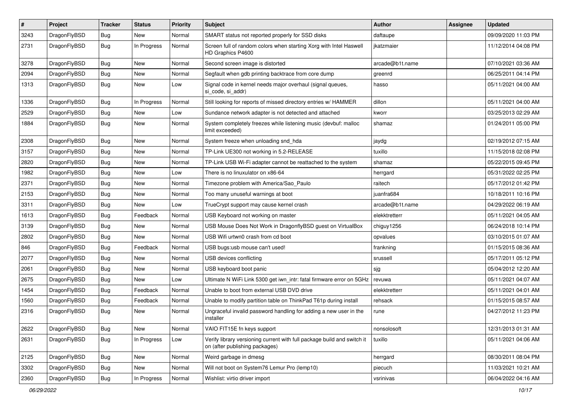| $\sharp$ | Project      | <b>Tracker</b> | <b>Status</b> | <b>Priority</b> | Subject                                                                                                   | Author          | Assignee | <b>Updated</b>      |
|----------|--------------|----------------|---------------|-----------------|-----------------------------------------------------------------------------------------------------------|-----------------|----------|---------------------|
| 3243     | DragonFlyBSD | Bug            | New           | Normal          | SMART status not reported properly for SSD disks                                                          | daftaupe        |          | 09/09/2020 11:03 PM |
| 2731     | DragonFlyBSD | Bug            | In Progress   | Normal          | Screen full of random colors when starting Xorg with Intel Haswell<br>HD Graphics P4600                   | ikatzmaier      |          | 11/12/2014 04:08 PM |
| 3278     | DragonFlyBSD | <b>Bug</b>     | <b>New</b>    | Normal          | Second screen image is distorted                                                                          | arcade@b1t.name |          | 07/10/2021 03:36 AM |
| 2094     | DragonFlyBSD | Bug            | <b>New</b>    | Normal          | Segfault when gdb printing backtrace from core dump                                                       | greenrd         |          | 06/25/2011 04:14 PM |
| 1313     | DragonFlyBSD | <b>Bug</b>     | New           | Low             | Signal code in kernel needs major overhaul (signal queues,<br>si_code, si_addr)                           | hasso           |          | 05/11/2021 04:00 AM |
| 1336     | DragonFlyBSD | Bug            | In Progress   | Normal          | Still looking for reports of missed directory entries w/ HAMMER                                           | dillon          |          | 05/11/2021 04:00 AM |
| 2529     | DragonFlyBSD | <b>Bug</b>     | <b>New</b>    | Low             | Sundance network adapter is not detected and attached                                                     | kworr           |          | 03/25/2013 02:29 AM |
| 1884     | DragonFlyBSD | Bug            | New           | Normal          | System completely freezes while listening music (devbuf: malloc<br>limit exceeded)                        | shamaz          |          | 01/24/2011 05:00 PM |
| 2308     | DragonFlyBSD | Bug            | <b>New</b>    | Normal          | System freeze when unloading snd_hda                                                                      | jaydg           |          | 02/19/2012 07:15 AM |
| 3157     | DragonFlyBSD | Bug            | <b>New</b>    | Normal          | TP-Link UE300 not working in 5.2-RELEASE                                                                  | tuxillo         |          | 11/15/2018 02:08 PM |
| 2820     | DragonFlyBSD | <b>Bug</b>     | New           | Normal          | TP-Link USB Wi-Fi adapter cannot be reattached to the system                                              | shamaz          |          | 05/22/2015 09:45 PM |
| 1982     | DragonFlyBSD | Bug            | New           | Low             | There is no linuxulator on x86-64                                                                         | herrgard        |          | 05/31/2022 02:25 PM |
| 2371     | DragonFlyBSD | <b>Bug</b>     | <b>New</b>    | Normal          | Timezone problem with America/Sao_Paulo                                                                   | raitech         |          | 05/17/2012 01:42 PM |
| 2153     | DragonFlyBSD | <b>Bug</b>     | New           | Normal          | Too many unuseful warnings at boot                                                                        | juanfra684      |          | 10/18/2011 10:16 PM |
| 3311     | DragonFlyBSD | Bug            | <b>New</b>    | Low             | TrueCrypt support may cause kernel crash                                                                  | arcade@b1t.name |          | 04/29/2022 06:19 AM |
| 1613     | DragonFlyBSD | <b>Bug</b>     | Feedback      | Normal          | USB Keyboard not working on master                                                                        | elekktretterr   |          | 05/11/2021 04:05 AM |
| 3139     | DragonFlyBSD | Bug            | <b>New</b>    | Normal          | USB Mouse Does Not Work in DragonflyBSD guest on VirtualBox                                               | chiguy1256      |          | 06/24/2018 10:14 PM |
| 2802     | DragonFlyBSD | <b>Bug</b>     | New           | Normal          | USB Wifi urtwn0 crash from cd boot                                                                        | opvalues        |          | 03/10/2015 01:07 AM |
| 846      | DragonFlyBSD | Bug            | Feedback      | Normal          | USB bugs:usb mouse can't used!                                                                            | frankning       |          | 01/15/2015 08:36 AM |
| 2077     | DragonFlyBSD | Bug            | <b>New</b>    | Normal          | USB devices conflicting                                                                                   | srussell        |          | 05/17/2011 05:12 PM |
| 2061     | DragonFlyBSD | <b>Bug</b>     | New           | Normal          | USB keyboard boot panic                                                                                   | sjg             |          | 05/04/2012 12:20 AM |
| 2675     | DragonFlyBSD | <b>Bug</b>     | New           | Low             | Ultimate N WiFi Link 5300 get iwn_intr: fatal firmware error on 5GHz                                      | revuwa          |          | 05/11/2021 04:07 AM |
| 1454     | DragonFlyBSD | Bug            | Feedback      | Normal          | Unable to boot from external USB DVD drive                                                                | elekktretterr   |          | 05/11/2021 04:01 AM |
| 1560     | DragonFlyBSD | <b>Bug</b>     | Feedback      | Normal          | Unable to modify partition table on ThinkPad T61p during install                                          | rehsack         |          | 01/15/2015 08:57 AM |
| 2316     | DragonFlyBSD | Bug            | New           | Normal          | Ungraceful invalid password handling for adding a new user in the<br>installer                            | rune            |          | 04/27/2012 11:23 PM |
| 2622     | DragonFlyBSD | <b>Bug</b>     | New           | Normal          | VAIO FIT15E fn keys support                                                                               | nonsolosoft     |          | 12/31/2013 01:31 AM |
| 2631     | DragonFlyBSD | <b>Bug</b>     | In Progress   | Low             | Verify library versioning current with full package build and switch it<br>on (after publishing packages) | tuxillo         |          | 05/11/2021 04:06 AM |
| 2125     | DragonFlyBSD | <b>Bug</b>     | New           | Normal          | Weird garbage in dmesg                                                                                    | herrgard        |          | 08/30/2011 08:04 PM |
| 3302     | DragonFlyBSD | <b>Bug</b>     | New           | Normal          | Will not boot on System76 Lemur Pro (lemp10)                                                              | piecuch         |          | 11/03/2021 10:21 AM |
| 2360     | DragonFlyBSD | <b>Bug</b>     | In Progress   | Normal          | Wishlist: virtio driver import                                                                            | vsrinivas       |          | 06/04/2022 04:16 AM |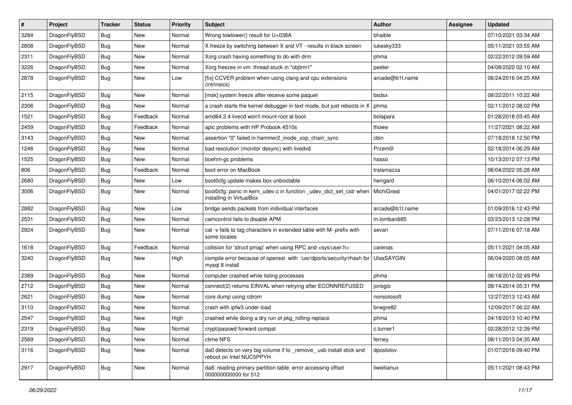| $\sharp$ | Project      | <b>Tracker</b> | <b>Status</b> | <b>Priority</b> | Subject                                                                                         | Author            | Assignee | <b>Updated</b>      |
|----------|--------------|----------------|---------------|-----------------|-------------------------------------------------------------------------------------------------|-------------------|----------|---------------------|
| 3284     | DragonFlyBSD | <b>Bug</b>     | <b>New</b>    | Normal          | Wrong towlower() result for U+038A                                                              | bhaible           |          | 07/10/2021 03:34 AM |
| 2808     | DragonFlyBSD | Bug            | New           | Normal          | X freeze by switching between X and VT - results in black screen                                | lukesky333        |          | 05/11/2021 03:55 AM |
| 2311     | DragonFlyBSD | <b>Bug</b>     | New           | Normal          | Xorg crash having something to do with drm                                                      | phma              |          | 02/22/2012 09:59 AM |
| 3226     | DragonFlyBSD | <b>Bug</b>     | New           | Normal          | Xorg freezes in vm: thread stuck in "objtrm1"                                                   | peeter            |          | 04/08/2020 02:10 AM |
| 2878     | DragonFlyBSD | Bug            | New           | Low             | [fix] CCVER problem when using clang and cpu extensions<br>(intrinsics)                         | arcade@b1t.name   |          | 06/24/2016 04:25 AM |
| 2115     | DragonFlyBSD | Bug            | New           | Normal          | [msk] system freeze after receive some paquet                                                   | bsdsx             |          | 08/22/2011 10:22 AM |
| 2306     | DragonFlyBSD | <b>Bug</b>     | New           | Normal          | a crash starts the kernel debugger in text mode, but just reboots in X                          | phma              |          | 02/11/2012 08:02 PM |
| 1521     | DragonFlyBSD | <b>Bug</b>     | Feedback      | Normal          | amd64 2.4 livecd won't mount root at boot                                                       | bolapara          |          | 01/28/2018 03:45 AM |
| 2459     | DragonFlyBSD | Bug            | Feedback      | Normal          | apic problems with HP Probook 4510s                                                             | thowe             |          | 11/27/2021 08:22 AM |
| 3143     | DragonFlyBSD | <b>Bug</b>     | New           | Normal          | assertion "0" failed in hammer2 inode xop chain sync                                            | cbin              |          | 07/18/2018 12:50 PM |
| 1246     | DragonFlyBSD | <b>Bug</b>     | New           | Normal          | bad resolution (monitor desync) with livedvd                                                    | Przem0l           |          | 02/18/2014 06:29 AM |
| 1525     | DragonFlyBSD | <b>Bug</b>     | <b>New</b>    | Normal          | boehm-gc problems                                                                               | hasso             |          | 10/13/2012 07:13 PM |
| 806      | DragonFlyBSD | <b>Bug</b>     | Feedback      | Normal          | boot error on MacBook                                                                           | tralamazza        |          | 06/04/2022 05:28 AM |
| 2680     | DragonFlyBSD | Bug            | New           | Low             | boot0cfg update makes box unbootable                                                            | herrgard          |          | 06/10/2014 06:02 AM |
| 3006     | DragonFlyBSD | <b>Bug</b>     | <b>New</b>    | Normal          | boot0cfg: panic in kern_udev.c in function _udev_dict_set_cstr when<br>installing in VirtualBox | MichiGreat        |          | 04/01/2017 02:22 PM |
| 2882     | DragonFlyBSD | Bug            | <b>New</b>    | Low             | bridge sends packets from individual interfaces                                                 | arcade@b1t.name   |          | 01/09/2016 12:43 PM |
| 2531     | DragonFlyBSD | <b>Bug</b>     | New           | Normal          | camcontrol fails to disable APM                                                                 | m.lombardi85      |          | 03/23/2013 12:28 PM |
| 2924     | DragonFlyBSD | <b>Bug</b>     | New           | Normal          | cat -v fails to tag characters in extended table with M- prefix with<br>some locales            | sevan             |          | 07/11/2016 07:18 AM |
| 1618     | DragonFlyBSD | Bug            | Feedback      | Normal          | collision for 'struct pmap' when using RPC and <sys user.h=""></sys>                            | carenas           |          | 05/11/2021 04:05 AM |
| 3240     | DragonFlyBSD | Bug            | New           | High            | compile error because of openssl with /usr/dports/security/rhash for<br>mysql 8 install         | <b>UlasSAYGIN</b> |          | 06/04/2020 08:05 AM |
| 2389     | DragonFlyBSD | Bug            | <b>New</b>    | Normal          | computer crashed while listing processes                                                        | phma              |          | 06/18/2012 02:49 PM |
| 2712     | DragonFlyBSD | Bug            | <b>New</b>    | Normal          | connect(2) returns EINVAL when retrying after ECONNREFUSED                                      | jorisgio          |          | 08/14/2014 05:31 PM |
| 2621     | DragonFlyBSD | <b>Bug</b>     | New           | Normal          | core dump using cdrom                                                                           | nonsolosoft       |          | 12/27/2013 12:43 AM |
| 3110     | DragonFlyBSD | <b>Bug</b>     | <b>New</b>    | Normal          | crash with ipfw3 under load                                                                     | bnegre82          |          | 12/09/2017 06:22 AM |
| 2547     | DragonFlyBSD | Bug            | New           | High            | crashed while doing a dry run of pkg rolling-replace                                            | phma              |          | 04/18/2013 10:40 PM |
| 2319     | DragonFlyBSD | <b>Bug</b>     | New           | Normal          | crypt/passwd forward compat                                                                     | c.turner1         |          | 02/28/2012 12:39 PM |
| 2569     | DragonFlyBSD | <b>Bug</b>     | <b>New</b>    | Normal          | ctime NFS                                                                                       | ferney            |          | 08/11/2013 04:35 AM |
| 3116     | DragonFlyBSD | <b>Bug</b>     | <b>New</b>    | Normal          | da0 detects on very big volume if to _remove_ usb install stick and<br>reboot on Intel NUC5PPYH | dpostolov         |          | 01/07/2018 09:40 PM |
| 2917     | DragonFlyBSD | <b>Bug</b>     | New           | Normal          | da8: reading primary partition table: error accessing offset<br>000000000000 for 512            | liweitianux       |          | 05/11/2021 08:43 PM |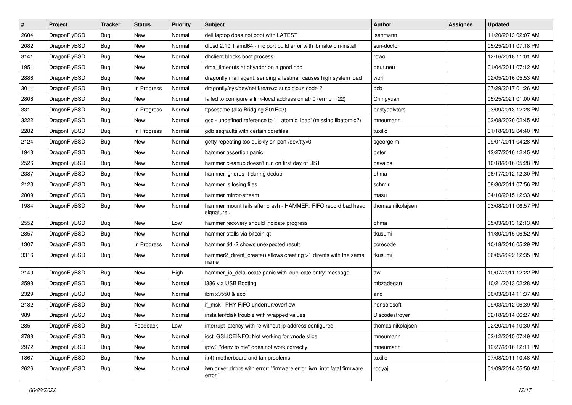| $\sharp$ | Project      | <b>Tracker</b> | <b>Status</b> | <b>Priority</b> | Subject                                                                           | Author            | Assignee | <b>Updated</b>      |
|----------|--------------|----------------|---------------|-----------------|-----------------------------------------------------------------------------------|-------------------|----------|---------------------|
| 2604     | DragonFlyBSD | <b>Bug</b>     | <b>New</b>    | Normal          | dell laptop does not boot with LATEST                                             | isenmann          |          | 11/20/2013 02:07 AM |
| 2082     | DragonFlyBSD | Bug            | New           | Normal          | dfbsd 2.10.1 amd64 - mc port build error with 'bmake bin-install'                 | sun-doctor        |          | 05/25/2011 07:18 PM |
| 3141     | DragonFlyBSD | <b>Bug</b>     | New           | Normal          | dhclient blocks boot process                                                      | rowo              |          | 12/16/2018 11:01 AM |
| 1951     | DragonFlyBSD | <b>Bug</b>     | <b>New</b>    | Normal          | dma_timeouts at phyaddr on a good hdd                                             | peur.neu          |          | 01/04/2011 07:12 AM |
| 2886     | DragonFlyBSD | Bug            | <b>New</b>    | Normal          | dragonfly mail agent: sending a testmail causes high system load                  | worf              |          | 02/05/2016 05:53 AM |
| 3011     | DragonFlyBSD | <b>Bug</b>     | In Progress   | Normal          | dragonfly/sys/dev/netif/re/re.c: suspicious code ?                                | dcb               |          | 07/29/2017 01:26 AM |
| 2806     | DragonFlyBSD | Bug            | <b>New</b>    | Normal          | failed to configure a link-local address on ath0 (errno = 22)                     | Chingyuan         |          | 05/25/2021 01:00 AM |
| 331      | DragonFlyBSD | <b>Bug</b>     | In Progress   | Normal          | ftpsesame (aka Bridging S01E03)                                                   | bastyaelvtars     |          | 03/09/2013 12:28 PM |
| 3222     | DragonFlyBSD | <b>Bug</b>     | <b>New</b>    | Normal          | gcc - undefined reference to '__atomic_load' (missing libatomic?)                 | mneumann          |          | 02/08/2020 02:45 AM |
| 2282     | DragonFlyBSD | Bug            | In Progress   | Normal          | gdb segfaults with certain corefiles                                              | tuxillo           |          | 01/18/2012 04:40 PM |
| 2124     | DragonFlyBSD | Bug            | New           | Normal          | getty repeating too quickly on port /dev/ttyv0                                    | sgeorge.ml        |          | 09/01/2011 04:28 AM |
| 1943     | DragonFlyBSD | Bug            | <b>New</b>    | Normal          | hammer assertion panic                                                            | peter             |          | 12/27/2010 12:45 AM |
| 2526     | DragonFlyBSD | <b>Bug</b>     | <b>New</b>    | Normal          | hammer cleanup doesn't run on first day of DST                                    | pavalos           |          | 10/18/2016 05:28 PM |
| 2387     | DragonFlyBSD | Bug            | New           | Normal          | hammer ignores -t during dedup                                                    | phma              |          | 06/17/2012 12:30 PM |
| 2123     | DragonFlyBSD | <b>Bug</b>     | New           | Normal          | hammer is losing files                                                            | schmir            |          | 08/30/2011 07:56 PM |
| 2809     | DragonFlyBSD | Bug            | New           | Normal          | hammer mirror-stream                                                              | masu              |          | 04/10/2015 12:33 AM |
| 1984     | DragonFlyBSD | Bug            | <b>New</b>    | Normal          | hammer mount fails after crash - HAMMER: FIFO record bad head<br>signature        | thomas.nikolajsen |          | 03/08/2011 06:57 PM |
| 2552     | DragonFlyBSD | Bug            | New           | Low             | hammer recovery should indicate progress                                          | phma              |          | 05/03/2013 12:13 AM |
| 2857     | DragonFlyBSD | Bug            | <b>New</b>    | Normal          | hammer stalls via bitcoin-qt                                                      | tkusumi           |          | 11/30/2015 06:52 AM |
| 1307     | DragonFlyBSD | Bug            | In Progress   | Normal          | hammer tid -2 shows unexpected result                                             | corecode          |          | 10/18/2016 05:29 PM |
| 3316     | DragonFlyBSD | Bug            | New           | Normal          | hammer2_dirent_create() allows creating >1 dirents with the same<br>name          | tkusumi           |          | 06/05/2022 12:35 PM |
| 2140     | DragonFlyBSD | Bug            | <b>New</b>    | High            | hammer_io_delallocate panic with 'duplicate entry' message                        | ttw               |          | 10/07/2011 12:22 PM |
| 2598     | DragonFlyBSD | Bug            | New           | Normal          | i386 via USB Booting                                                              | mbzadegan         |          | 10/21/2013 02:28 AM |
| 2329     | DragonFlyBSD | Bug            | New           | Normal          | ibm x3550 & acpi                                                                  | ano               |          | 06/03/2014 11:37 AM |
| 2182     | DragonFlyBSD | Bug            | <b>New</b>    | Normal          | if_msk PHY FIFO underrun/overflow                                                 | nonsolosoft       |          | 09/03/2012 06:39 AM |
| 989      | DragonFlyBSD | Bug            | New           | Normal          | installer/fdisk trouble with wrapped values                                       | Discodestroyer    |          | 02/18/2014 06:27 AM |
| 285      | DragonFlyBSD | <b>Bug</b>     | Feedback      | Low             | interrupt latency with re without ip address configured                           | thomas.nikolajsen |          | 02/20/2014 10:30 AM |
| 2788     | DragonFlyBSD | <b>Bug</b>     | <b>New</b>    | Normal          | ioctl GSLICEINFO: Not working for vnode slice                                     | mneumann          |          | 02/12/2015 07:49 AM |
| 2972     | DragonFlyBSD | <b>Bug</b>     | <b>New</b>    | Normal          | ipfw3 "deny to me" does not work correctly                                        | mneumann          |          | 12/27/2016 12:11 PM |
| 1867     | DragonFlyBSD | <b>Bug</b>     | New           | Normal          | it(4) motherboard and fan problems                                                | tuxillo           |          | 07/08/2011 10:48 AM |
| 2626     | DragonFlyBSD | <b>Bug</b>     | New           | Normal          | iwn driver drops with error: "firmware error 'iwn_intr: fatal firmware<br>error"" | rodyaj            |          | 01/09/2014 05:50 AM |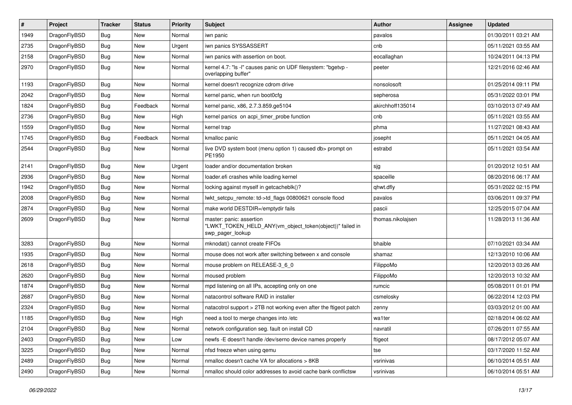| #    | Project      | <b>Tracker</b> | <b>Status</b> | <b>Priority</b> | Subject                                                                                                  | Author            | Assignee | <b>Updated</b>      |
|------|--------------|----------------|---------------|-----------------|----------------------------------------------------------------------------------------------------------|-------------------|----------|---------------------|
| 1949 | DragonFlyBSD | <b>Bug</b>     | <b>New</b>    | Normal          | iwn panic                                                                                                | pavalos           |          | 01/30/2011 03:21 AM |
| 2735 | DragonFlyBSD | <b>Bug</b>     | <b>New</b>    | Urgent          | iwn panics SYSSASSERT                                                                                    | cnb               |          | 05/11/2021 03:55 AM |
| 2158 | DragonFlyBSD | <b>Bug</b>     | New           | Normal          | iwn panics with assertion on boot.                                                                       | eocallaghan       |          | 10/24/2011 04:13 PM |
| 2970 | DragonFlyBSD | Bug            | New           | Normal          | kernel 4.7: "Is -I" causes panic on UDF filesystem: "bgetvp -<br>overlapping buffer"                     | peeter            |          | 12/21/2016 02:46 AM |
| 1193 | DragonFlyBSD | Bug            | <b>New</b>    | Normal          | kernel doesn't recognize cdrom drive                                                                     | nonsolosoft       |          | 01/25/2014 09:11 PM |
| 2042 | DragonFlyBSD | Bug            | <b>New</b>    | Normal          | kernel panic, when run boot0cfg                                                                          | sepherosa         |          | 05/31/2022 03:01 PM |
| 1824 | DragonFlyBSD | <b>Bug</b>     | Feedback      | Normal          | kernel panic, x86, 2.7.3.859.ge5104                                                                      | akirchhoff135014  |          | 03/10/2013 07:49 AM |
| 2736 | DragonFlyBSD | <b>Bug</b>     | New           | High            | kernel panics on acpi_timer_probe function                                                               | cnb               |          | 05/11/2021 03:55 AM |
| 1559 | DragonFlyBSD | <b>Bug</b>     | <b>New</b>    | Normal          | kernel trap                                                                                              | phma              |          | 11/27/2021 08:43 AM |
| 1745 | DragonFlyBSD | <b>Bug</b>     | Feedback      | Normal          | kmalloc panic                                                                                            | josepht           |          | 05/11/2021 04:05 AM |
| 2544 | DragonFlyBSD | Bug            | New           | Normal          | live DVD system boot (menu option 1) caused db> prompt on<br>PE1950                                      | estrabd           |          | 05/11/2021 03:54 AM |
| 2141 | DragonFlyBSD | <b>Bug</b>     | <b>New</b>    | Urgent          | loader and/or documentation broken                                                                       | sjg               |          | 01/20/2012 10:51 AM |
| 2936 | DragonFlyBSD | <b>Bug</b>     | <b>New</b>    | Normal          | loader.efi crashes while loading kernel                                                                  | spaceille         |          | 08/20/2016 06:17 AM |
| 1942 | DragonFlyBSD | <b>Bug</b>     | New           | Normal          | locking against myself in getcacheblk()?                                                                 | qhwt.dfly         |          | 05/31/2022 02:15 PM |
| 2008 | DragonFlyBSD | Bug            | New           | Normal          | lwkt setcpu remote: td->td flags 00800621 console flood                                                  | pavalos           |          | 03/06/2011 09:37 PM |
| 2874 | DragonFlyBSD | <b>Bug</b>     | <b>New</b>    | Normal          | make world DESTDIR=/emptydir fails                                                                       | pascii            |          | 12/25/2015 07:04 AM |
| 2609 | DragonFlyBSD | <b>Bug</b>     | New           | Normal          | master: panic: assertion<br>"LWKT_TOKEN_HELD_ANY(vm_object_token(object))" failed in<br>swp_pager_lookup | thomas.nikolajsen |          | 11/28/2013 11:36 AM |
| 3283 | DragonFlyBSD | <b>Bug</b>     | New           | Normal          | mknodat() cannot create FIFOs                                                                            | bhaible           |          | 07/10/2021 03:34 AM |
| 1935 | DragonFlyBSD | <b>Bug</b>     | New           | Normal          | mouse does not work after switching between x and console                                                | shamaz            |          | 12/13/2010 10:06 AM |
| 2618 | DragonFlyBSD | <b>Bug</b>     | New           | Normal          | mouse problem on RELEASE-3 6 0                                                                           | FilippoMo         |          | 12/20/2013 03:26 AM |
| 2620 | DragonFlyBSD | Bug            | New           | Normal          | moused problem                                                                                           | FilippoMo         |          | 12/20/2013 10:32 AM |
| 1874 | DragonFlyBSD | <b>Bug</b>     | New           | Normal          | mpd listening on all IPs, accepting only on one                                                          | rumcic            |          | 05/08/2011 01:01 PM |
| 2687 | DragonFlyBSD | <b>Bug</b>     | New           | Normal          | natacontrol software RAID in installer                                                                   | csmelosky         |          | 06/22/2014 12:03 PM |
| 2324 | DragonFlyBSD | <b>Bug</b>     | New           | Normal          | natacotrol support > 2TB not working even after the ftigeot patch                                        | zenny             |          | 03/03/2012 01:00 AM |
| 1185 | DragonFlyBSD | Bug            | New           | High            | need a tool to merge changes into /etc                                                                   | wa1ter            |          | 02/18/2014 06:02 AM |
| 2104 | DragonFlyBSD | Bug            | New           | Normal          | network configuration seg. fault on install CD                                                           | navratil          |          | 07/26/2011 07:55 AM |
| 2403 | DragonFlyBSD | Bug            | New           | Low             | newfs -E doesn't handle /dev/serno device names properly                                                 | ftigeot           |          | 08/17/2012 05:07 AM |
| 3225 | DragonFlyBSD | <b>Bug</b>     | New           | Normal          | nfsd freeze when using gemu                                                                              | tse               |          | 03/17/2020 11:52 AM |
| 2489 | DragonFlyBSD | <b>Bug</b>     | New           | Normal          | nmalloc doesn't cache VA for allocations > 8KB                                                           | vsrinivas         |          | 06/10/2014 05:51 AM |
| 2490 | DragonFlyBSD | <b>Bug</b>     | New           | Normal          | nmalloc should color addresses to avoid cache bank conflictsw                                            | vsrinivas         |          | 06/10/2014 05:51 AM |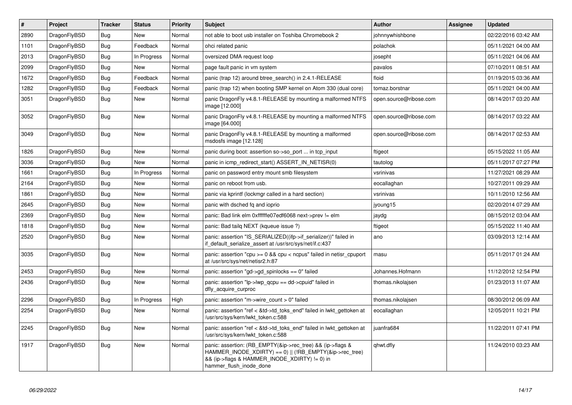| $\vert$ # | <b>Project</b> | <b>Tracker</b> | <b>Status</b> | <b>Priority</b> | <b>Subject</b>                                                                                                                                                                                    | <b>Author</b>          | Assignee | <b>Updated</b>      |
|-----------|----------------|----------------|---------------|-----------------|---------------------------------------------------------------------------------------------------------------------------------------------------------------------------------------------------|------------------------|----------|---------------------|
| 2890      | DragonFlyBSD   | Bug            | <b>New</b>    | Normal          | not able to boot usb installer on Toshiba Chromebook 2                                                                                                                                            | johnnywhishbone        |          | 02/22/2016 03:42 AM |
| 1101      | DragonFlyBSD   | <b>Bug</b>     | Feedback      | Normal          | ohci related panic                                                                                                                                                                                | polachok               |          | 05/11/2021 04:00 AM |
| 2013      | DragonFlyBSD   | Bug            | In Progress   | Normal          | oversized DMA request loop                                                                                                                                                                        | josepht                |          | 05/11/2021 04:06 AM |
| 2099      | DragonFlyBSD   | Bug            | <b>New</b>    | Normal          | page fault panic in vm system                                                                                                                                                                     | pavalos                |          | 07/10/2011 08:51 AM |
| 1672      | DragonFlyBSD   | <b>Bug</b>     | Feedback      | Normal          | panic (trap 12) around btree_search() in 2.4.1-RELEASE                                                                                                                                            | floid                  |          | 01/19/2015 03:36 AM |
| 1282      | DragonFlyBSD   | <b>Bug</b>     | Feedback      | Normal          | panic (trap 12) when booting SMP kernel on Atom 330 (dual core)                                                                                                                                   | tomaz.borstnar         |          | 05/11/2021 04:00 AM |
| 3051      | DragonFlyBSD   | <b>Bug</b>     | <b>New</b>    | Normal          | panic DragonFly v4.8.1-RELEASE by mounting a malformed NTFS<br>image [12.000]                                                                                                                     | open.source@ribose.com |          | 08/14/2017 03:20 AM |
| 3052      | DragonFlyBSD   | Bug            | <b>New</b>    | Normal          | panic DragonFly v4.8.1-RELEASE by mounting a malformed NTFS<br>image [64.000]                                                                                                                     | open.source@ribose.com |          | 08/14/2017 03:22 AM |
| 3049      | DragonFlyBSD   | Bug            | <b>New</b>    | Normal          | panic DragonFly v4.8.1-RELEASE by mounting a malformed<br>msdosfs image [12.128]                                                                                                                  | open.source@ribose.com |          | 08/14/2017 02:53 AM |
| 1826      | DragonFlyBSD   | Bug            | <b>New</b>    | Normal          | panic during boot: assertion so->so port  in tcp input                                                                                                                                            | ftigeot                |          | 05/15/2022 11:05 AM |
| 3036      | DragonFlyBSD   | <b>Bug</b>     | <b>New</b>    | Normal          | panic in icmp_redirect_start() ASSERT_IN_NETISR(0)                                                                                                                                                | tautolog               |          | 05/11/2017 07:27 PM |
| 1661      | DragonFlyBSD   | Bug            | In Progress   | Normal          | panic on password entry mount smb filesystem                                                                                                                                                      | vsrinivas              |          | 11/27/2021 08:29 AM |
| 2164      | DragonFlyBSD   | Bug            | <b>New</b>    | Normal          | panic on reboot from usb.                                                                                                                                                                         | eocallaghan            |          | 10/27/2011 09:29 AM |
| 1861      | DragonFlyBSD   | <b>Bug</b>     | New           | Normal          | panic via kprintf (lockmgr called in a hard section)                                                                                                                                              | vsrinivas              |          | 10/11/2010 12:56 AM |
| 2645      | DragonFlyBSD   | Bug            | <b>New</b>    | Normal          | panic with dsched fq and ioprio                                                                                                                                                                   | jyoung15               |          | 02/20/2014 07:29 AM |
| 2369      | DragonFlyBSD   | <b>Bug</b>     | <b>New</b>    | Normal          | panic: Bad link elm 0xffffffe07edf6068 next->prev != elm                                                                                                                                          | jaydg                  |          | 08/15/2012 03:04 AM |
| 1818      | DragonFlyBSD   | <b>Bug</b>     | <b>New</b>    | Normal          | panic: Bad tailg NEXT (kqueue issue ?)                                                                                                                                                            | ftigeot                |          | 05/15/2022 11:40 AM |
| 2520      | DragonFlyBSD   | Bug            | New           | Normal          | panic: assertion "IS_SERIALIZED((ifp->if_serializer))" failed in<br>if default serialize assert at /usr/src/sys/net/if.c:437                                                                      | ano                    |          | 03/09/2013 12:14 AM |
| 3035      | DragonFlyBSD   | <b>Bug</b>     | <b>New</b>    | Normal          | panic: assertion "cpu >= 0 && cpu < ncpus" failed in netisr_cpuport<br>at /usr/src/sys/net/netisr2.h:87                                                                                           | masu                   |          | 05/11/2017 01:24 AM |
| 2453      | DragonFlyBSD   | Bug            | <b>New</b>    | Normal          | panic: assertion "gd->gd spinlocks == $0$ " failed                                                                                                                                                | Johannes.Hofmann       |          | 11/12/2012 12:54 PM |
| 2436      | DragonFlyBSD   | Bug            | New           | Normal          | panic: assertion " $lp$ -> $lwp$ qcpu == dd->cpuid" failed in<br>dfly_acquire_curproc                                                                                                             | thomas.nikolajsen      |          | 01/23/2013 11:07 AM |
| 2296      | DragonFlyBSD   | Bug            | In Progress   | High            | panic: assertion "m->wire count > 0" failed                                                                                                                                                       | thomas.nikolajsen      |          | 08/30/2012 06:09 AM |
| 2254      | DragonFlyBSD   | Bug            | New           | Normal          | panic: assertion "ref < &td->td toks end" failed in lwkt gettoken at<br>/usr/src/sys/kern/lwkt_token.c:588                                                                                        | eocallaghan            |          | 12/05/2011 10:21 PM |
| 2245      | DragonFlyBSD   | Bug            | <b>New</b>    | Normal          | panic: assertion "ref < &td->td_toks_end" failed in lwkt_gettoken at<br>/usr/src/sys/kern/lwkt_token.c:588                                                                                        | juanfra684             |          | 11/22/2011 07:41 PM |
| 1917      | DragonFlyBSD   | Bug            | <b>New</b>    | Normal          | panic: assertion: (RB_EMPTY(&ip->rec_tree) && (ip->flags &<br>HAMMER INODE XDIRTY) == 0)    (!RB EMPTY(&ip->rec tree)<br>&& (ip->flags & HAMMER INODE XDIRTY) != 0) in<br>hammer flush inode done | qhwt.dfly              |          | 11/24/2010 03:23 AM |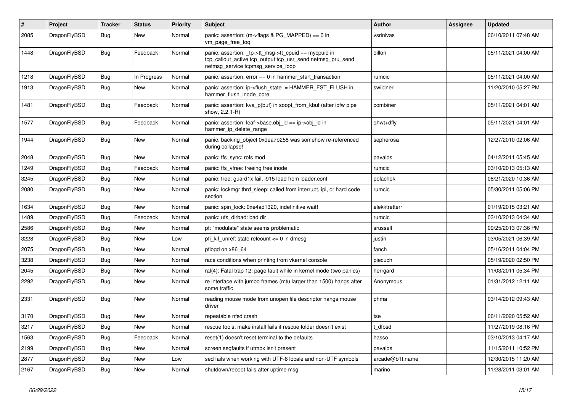| $\vert$ # | Project      | Tracker    | <b>Status</b> | <b>Priority</b> | <b>Subject</b>                                                                                                                                            | <b>Author</b>   | Assignee | Updated             |
|-----------|--------------|------------|---------------|-----------------|-----------------------------------------------------------------------------------------------------------------------------------------------------------|-----------------|----------|---------------------|
| 2085      | DragonFlyBSD | <b>Bug</b> | New           | Normal          | panic: assertion: (m->flags & PG_MAPPED) == 0 in<br>vm_page_free_toq                                                                                      | vsrinivas       |          | 06/10/2011 07:48 AM |
| 1448      | DragonFlyBSD | <b>Bug</b> | Feedback      | Normal          | panic: assertion: _tp->tt_msg->tt_cpuid == mycpuid in<br>tcp_callout_active tcp_output tcp_usr_send netmsg_pru_send<br>netmsg service tcpmsg service loop | dillon          |          | 05/11/2021 04:00 AM |
| 1218      | DragonFlyBSD | Bug        | In Progress   | Normal          | panic: assertion: error $== 0$ in hammer start transaction                                                                                                | rumcic          |          | 05/11/2021 04:00 AM |
| 1913      | DragonFlyBSD | <b>Bug</b> | <b>New</b>    | Normal          | panic: assertion: ip->flush state != HAMMER FST FLUSH in<br>hammer flush inode core                                                                       | swildner        |          | 11/20/2010 05:27 PM |
| 1481      | DragonFlyBSD | Bug        | Feedback      | Normal          | panic: assertion: kva p(buf) in soopt from kbuf (after ipfw pipe<br>show, 2.2.1-R)                                                                        | combiner        |          | 05/11/2021 04:01 AM |
| 1577      | DragonFlyBSD | Bug        | Feedback      | Normal          | panic: assertion: leaf->base.obj id == ip->obj id in<br>hammer ip delete range                                                                            | qhwt+dfly       |          | 05/11/2021 04:01 AM |
| 1944      | DragonFlyBSD | Bug        | New           | Normal          | panic: backing_object 0xdea7b258 was somehow re-referenced<br>during collapse!                                                                            | sepherosa       |          | 12/27/2010 02:06 AM |
| 2048      | DragonFlyBSD | <b>Bug</b> | <b>New</b>    | Normal          | panic: ffs_sync: rofs mod                                                                                                                                 | pavalos         |          | 04/12/2011 05:45 AM |
| 1249      | DragonFlyBSD | <b>Bug</b> | Feedback      | Normal          | panic: ffs vfree: freeing free inode                                                                                                                      | rumcic          |          | 03/10/2013 05:13 AM |
| 3245      | DragonFlyBSD | <b>Bug</b> | <b>New</b>    | Normal          | panic: free: guard1x fail, i915 load from loader.conf                                                                                                     | polachok        |          | 08/21/2020 10:36 AM |
| 2080      | DragonFlyBSD | <b>Bug</b> | <b>New</b>    | Normal          | panic: lockmgr thrd_sleep: called from interrupt, ipi, or hard code<br>section                                                                            | rumcic          |          | 05/30/2011 05:06 PM |
| 1634      | DragonFlyBSD | <b>Bug</b> | <b>New</b>    | Normal          | panic: spin lock: 0xe4ad1320, indefinitive wait!                                                                                                          | elekktretterr   |          | 01/19/2015 03:21 AM |
| 1489      | DragonFlyBSD | <b>Bug</b> | Feedback      | Normal          | panic: ufs dirbad: bad dir                                                                                                                                | rumcic          |          | 03/10/2013 04:34 AM |
| 2586      | DragonFlyBSD | <b>Bug</b> | <b>New</b>    | Normal          | pf: "modulate" state seems problematic                                                                                                                    | srussell        |          | 09/25/2013 07:36 PM |
| 3228      | DragonFlyBSD | <b>Bug</b> | New           | Low             | pfi kif unref: state refcount $\leq 0$ in dmesg                                                                                                           | justin          |          | 03/05/2021 06:39 AM |
| 2075      | DragonFlyBSD | <b>Bug</b> | <b>New</b>    | Normal          | pflogd on x86 64                                                                                                                                          | fanch           |          | 05/16/2011 04:04 PM |
| 3238      | DragonFlyBSD | <b>Bug</b> | <b>New</b>    | Normal          | race conditions when printing from vkernel console                                                                                                        | piecuch         |          | 05/19/2020 02:50 PM |
| 2045      | DragonFlyBSD | Bug        | <b>New</b>    | Normal          | ral(4): Fatal trap 12: page fault while in kernel mode (two panics)                                                                                       | herrgard        |          | 11/03/2011 05:34 PM |
| 2292      | DragonFlyBSD | Bug        | New           | Normal          | re interface with jumbo frames (mtu larger than 1500) hangs after<br>some traffic                                                                         | Anonymous       |          | 01/31/2012 12:11 AM |
| 2331      | DragonFlyBSD | <b>Bug</b> | <b>New</b>    | Normal          | reading mouse mode from unopen file descriptor hangs mouse<br>driver                                                                                      | phma            |          | 03/14/2012 09:43 AM |
| 3170      | DragonFlyBSD | <b>Bug</b> | <b>New</b>    | Normal          | repeatable nfsd crash                                                                                                                                     | tse             |          | 06/11/2020 05:52 AM |
| 3217      | DragonFlyBSD | <b>Bug</b> | <b>New</b>    | Normal          | rescue tools: make install fails if rescue folder doesn't exist                                                                                           | t dfbsd         |          | 11/27/2019 08:16 PM |
| 1563      | DragonFlyBSD | Bug        | Feedback      | Normal          | reset(1) doesn't reset terminal to the defaults                                                                                                           | hasso           |          | 03/10/2013 04:17 AM |
| 2199      | DragonFlyBSD | Bug        | <b>New</b>    | Normal          | screen segfaults if utmpx isn't present                                                                                                                   | pavalos         |          | 11/15/2011 10:52 PM |
| 2877      | DragonFlyBSD | Bug        | <b>New</b>    | Low             | sed fails when working with UTF-8 locale and non-UTF symbols                                                                                              | arcade@b1t.name |          | 12/30/2015 11:20 AM |
| 2167      | DragonFlyBSD | <b>Bug</b> | <b>New</b>    | Normal          | shutdown/reboot fails after uptime msg                                                                                                                    | marino          |          | 11/28/2011 03:01 AM |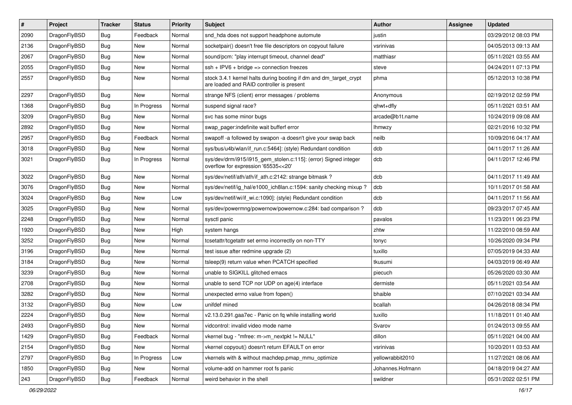| $\vert$ # | Project      | <b>Tracker</b> | <b>Status</b> | <b>Priority</b> | <b>Subject</b>                                                                                                 | Author           | Assignee | <b>Updated</b>      |
|-----------|--------------|----------------|---------------|-----------------|----------------------------------------------------------------------------------------------------------------|------------------|----------|---------------------|
| 2090      | DragonFlyBSD | Bug            | Feedback      | Normal          | snd_hda does not support headphone automute                                                                    | justin           |          | 03/29/2012 08:03 PM |
| 2136      | DragonFlyBSD | <b>Bug</b>     | <b>New</b>    | Normal          | socketpair() doesn't free file descriptors on copyout failure                                                  | vsrinivas        |          | 04/05/2013 09:13 AM |
| 2067      | DragonFlyBSD | <b>Bug</b>     | New           | Normal          | sound/pcm: "play interrupt timeout, channel dead"                                                              | matthiasr        |          | 05/11/2021 03:55 AM |
| 2055      | DragonFlyBSD | Bug            | New           | Normal          | ssh + IPV6 + bridge => connection freezes                                                                      | steve            |          | 04/24/2011 07:13 PM |
| 2557      | DragonFlyBSD | <b>Bug</b>     | New           | Normal          | stock 3.4.1 kernel halts during booting if dm and dm_target_crypt<br>are loaded and RAID controller is present | phma             |          | 05/12/2013 10:38 PM |
| 2297      | DragonFlyBSD | <b>Bug</b>     | <b>New</b>    | Normal          | strange NFS (client) error messages / problems                                                                 | Anonymous        |          | 02/19/2012 02:59 PM |
| 1368      | DragonFlyBSD | <b>Bug</b>     | In Progress   | Normal          | suspend signal race?                                                                                           | qhwt+dfly        |          | 05/11/2021 03:51 AM |
| 3209      | DragonFlyBSD | Bug            | <b>New</b>    | Normal          | svc has some minor bugs                                                                                        | arcade@b1t.name  |          | 10/24/2019 09:08 AM |
| 2892      | DragonFlyBSD | <b>Bug</b>     | New           | Normal          | swap_pager:indefinite wait bufferf error                                                                       | <b>Ihmwzy</b>    |          | 02/21/2016 10:32 PM |
| 2957      | DragonFlyBSD | Bug            | Feedback      | Normal          | swapoff -a followed by swapon -a doesn't give your swap back                                                   | neilb            |          | 10/09/2016 04:17 AM |
| 3018      | DragonFlyBSD | <b>Bug</b>     | New           | Normal          | sys/bus/u4b/wlan/if_run.c:5464]: (style) Redundant condition                                                   | dcb              |          | 04/11/2017 11:26 AM |
| 3021      | DragonFlyBSD | <b>Bug</b>     | In Progress   | Normal          | sys/dev/drm/i915/i915_gem_stolen.c:115]: (error) Signed integer<br>overflow for expression '65535<<20'         | dcb              |          | 04/11/2017 12:46 PM |
| 3022      | DragonFlyBSD | <b>Bug</b>     | <b>New</b>    | Normal          | sys/dev/netif/ath/ath/if_ath.c:2142: strange bitmask?                                                          | dcb              |          | 04/11/2017 11:49 AM |
| 3076      | DragonFlyBSD | <b>Bug</b>     | New           | Normal          | sys/dev/netif/ig_hal/e1000_ich8lan.c:1594: sanity checking mixup ?                                             | dcb              |          | 10/11/2017 01:58 AM |
| 3024      | DragonFlyBSD | Bug            | <b>New</b>    | Low             | sys/dev/netif/wi/if_wi.c:1090]: (style) Redundant condition                                                    | dcb              |          | 04/11/2017 11:56 AM |
| 3025      | DragonFlyBSD | <b>Bug</b>     | <b>New</b>    | Normal          | sys/dev/powermng/powernow/powernow.c:284: bad comparison?                                                      | dcb              |          | 09/23/2017 07:45 AM |
| 2248      | DragonFlyBSD | <b>Bug</b>     | New           | Normal          | sysctl panic                                                                                                   | pavalos          |          | 11/23/2011 06:23 PM |
| 1920      | DragonFlyBSD | Bug            | <b>New</b>    | High            | system hangs                                                                                                   | zhtw             |          | 11/22/2010 08:59 AM |
| 3252      | DragonFlyBSD | <b>Bug</b>     | New           | Normal          | tcsetattr/tcgetattr set errno incorrectly on non-TTY                                                           | tonyc            |          | 10/26/2020 09:34 PM |
| 3196      | DragonFlyBSD | <b>Bug</b>     | <b>New</b>    | Normal          | test issue after redmine upgrade (2)                                                                           | tuxillo          |          | 07/05/2019 04:33 AM |
| 3184      | DragonFlyBSD | <b>Bug</b>     | <b>New</b>    | Normal          | tsleep(9) return value when PCATCH specified                                                                   | tkusumi          |          | 04/03/2019 06:49 AM |
| 3239      | DragonFlyBSD | <b>Bug</b>     | <b>New</b>    | Normal          | unable to SIGKILL glitched emacs                                                                               | piecuch          |          | 05/26/2020 03:30 AM |
| 2708      | DragonFlyBSD | Bug            | New           | Normal          | unable to send TCP nor UDP on age(4) interface                                                                 | dermiste         |          | 05/11/2021 03:54 AM |
| 3282      | DragonFlyBSD | <b>Bug</b>     | <b>New</b>    | Normal          | unexpected errno value from fopen()                                                                            | bhaible          |          | 07/10/2021 03:34 AM |
| 3132      | DragonFlyBSD | Bug            | New           | Low             | unifdef mined                                                                                                  | bcallah          |          | 04/26/2018 08:34 PM |
| 2224      | DragonFlyBSD | Bug            | <b>New</b>    | Normal          | v2.13.0.291.gaa7ec - Panic on fq while installing world                                                        | tuxillo          |          | 11/18/2011 01:40 AM |
| 2493      | DragonFlyBSD | Bug            | New           | Normal          | vidcontrol: invalid video mode name                                                                            | Svarov           |          | 01/24/2013 09:55 AM |
| 1429      | DragonFlyBSD | <b>Bug</b>     | Feedback      | Normal          | vkernel bug - "mfree: m->m_nextpkt != NULL"                                                                    | dillon           |          | 05/11/2021 04:00 AM |
| 2154      | DragonFlyBSD | <b>Bug</b>     | New           | Normal          | vkernel copyout() doesn't return EFAULT on error                                                               | vsrinivas        |          | 10/20/2011 03:53 AM |
| 2797      | DragonFlyBSD | <b>Bug</b>     | In Progress   | Low             | vkernels with & without machdep.pmap mmu optimize                                                              | yellowrabbit2010 |          | 11/27/2021 08:06 AM |
| 1850      | DragonFlyBSD | <b>Bug</b>     | New           | Normal          | volume-add on hammer root fs panic                                                                             | Johannes.Hofmann |          | 04/18/2019 04:27 AM |
| 243       | DragonFlyBSD | <b>Bug</b>     | Feedback      | Normal          | weird behavior in the shell                                                                                    | swildner         |          | 05/31/2022 02:51 PM |